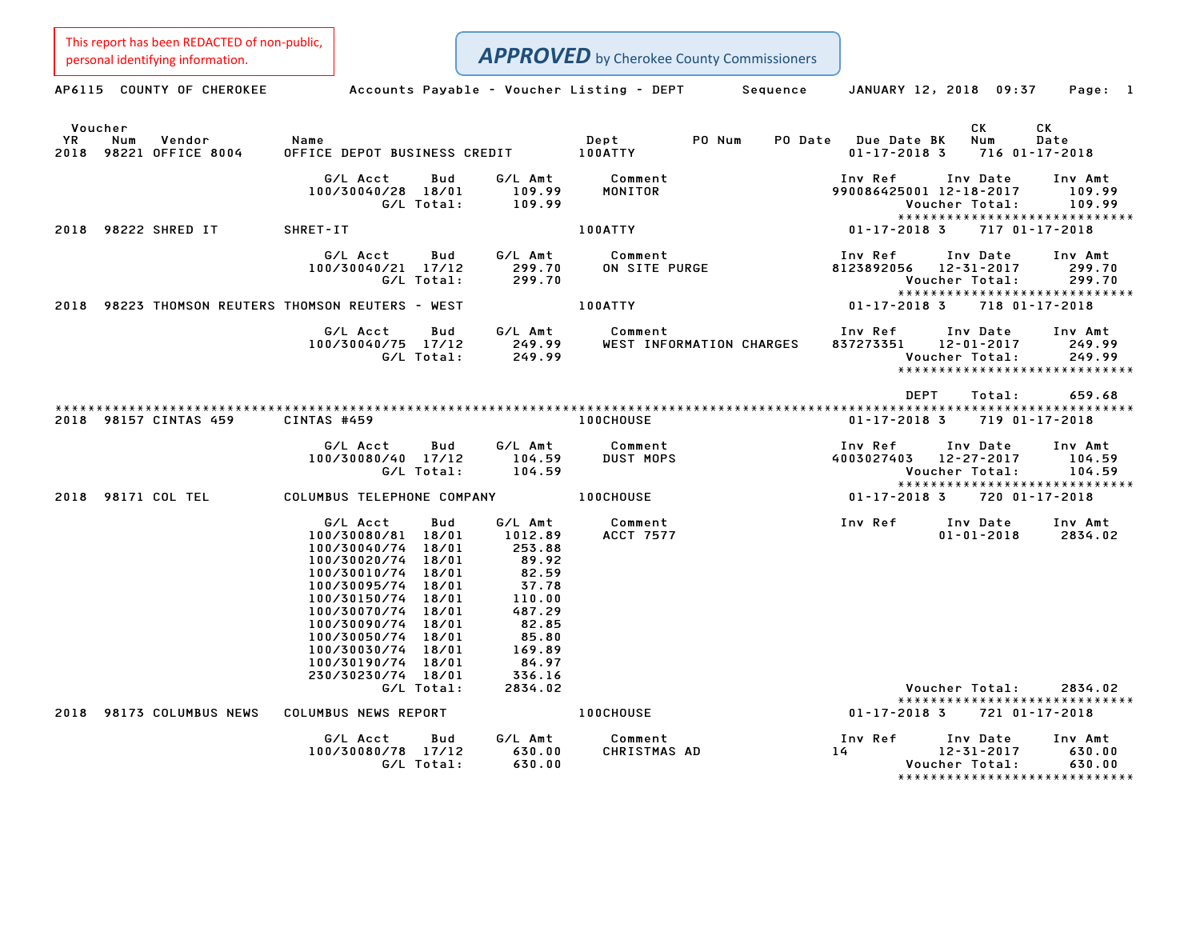AP6115 COUNTY OF CHEROKEE Accounts Payable - Voucher Listing - DEPT Sequence JANUARY 12, 2018 09:37 Page: 1 Voucher CK CK YR Num Vendor Name Dept PO Num PO Date Due Date BK Num Date 200 - Voucher<br>2018 YR Num Vendor – Name Name Dept – Dept – PO-Num PO-Date Due-Date BK Num Date<br>2018 98221 OFFICE 8004 – OFFICE DEPOT BUSINESS CREDIT – 100ATTY – 2010 PO-Date – 01-17-2018 3 716 01-17-2018 G/L Acct Bud G/L Amt Comment Inv Ref Inv Date Inv Amt 100/30040/28 18/01 109.99 MONITOR <sup>990086425001</sup> 12-18-2017 109.99 G/L Total: 109.99 Voucher Total: 109.99 990086425001 12-18-2017 109.99<br>Voucher Total: 109.99<br>\*\*\*\*\*\*\*\*\*\*\*\*\*\*\*\*\*\*\*\*\*\*\*\*\*\*\*\*\*\*\* <sup>2018</sup> <sup>98222</sup> SHRED IT SHRET-IT 100ATTY 01-17-2018 <sup>3</sup> <sup>717</sup> 01-17-2018 G/L Acct Bud G/L Amt Comment Inv Ref Inv Date Inv Amt 100/30040/21 17/12 299.70 ON SITE PURGE <sup>8123892056</sup> 12-31-2017 299.70 G/L Total: 299.70 Voucher Total: 299.70 8123892056 12-31-2017 299.70<br>Voucher Total: 299.70<br>\*\*\*\*\*\*\*\*\*\*\*\*\*\*\*\*\*\*\*\*\*\*\*\*\*\*\*\*\*\*\* <sup>2018</sup> <sup>98223</sup> THOMSON REUTERS THOMSON REUTERS - WEST 100ATTY 01-17-2018 <sup>3</sup> <sup>718</sup> 01-17-2018 G/L Acct Bud G/L Amt Comment Inv Ref Inv Date Inv Amt 100/30040/75 17/12 249.99 WEST INFORMATION CHARGES <sup>837273351</sup> 12-01-2017 249.99 G/L Total: 249.99 Voucher Total: 249.99 \*\*\*\*\*\*\*\*\*\*\*\*\*\*\*\*\*\*\*\*\*\*\*\*\*\*\*\*\* DEPT Total: 659.68 \*\*\*\*\*\*\*\*\*\*\*\*\*\*\*\*\*\*\*\*\*\*\*\*\*\*\*\*\*\*\*\*\*\*\*\*\*\*\*\*\*\*\*\*\*\*\*\*\*\*\*\*\*\*\*\*\*\*\*\*\*\*\*\*\*\*\*\*\*\*\*\*\*\*\*\*\*\*\*\*\*\*\*\*\*\*\*\*\*\*\*\*\*\*\*\*\*\*\*\*\*\*\*\*\*\*\*\*\*\*\*\*\*\*\*\*\*\*\*\*\*\*\*\*\*\*\*\*\*\*\*\* <sup>2018</sup> <sup>98157</sup> CINTAS <sup>459</sup> CINTAS #459 100CHOUSE 01-17-2018 <sup>3</sup> <sup>719</sup> 01-17-2018 G/L Acct Bud G/L Amt Comment Inv Ref Inv Date Inv Amt 100/30080/40 17/12 104.59 DUST MOPS <sup>4003027403</sup> 12-27-2017 104.59 G/L Total: 104.59 Voucher Total: 104.59 \*\*\*\*\*\*\*\*\*\*\*\*\*\*\*\*\*\*\*\*\*\*\*\*\*\*\*\*\* <sup>2018</sup> <sup>98171</sup> COL TEL COLUMBUS TELEPHONE COMPANY 100CHOUSE 01-17-2018 <sup>3</sup> <sup>720</sup> 01-17-2018 G/L Acct Bud G/L Amt Comment Inv Ref Inv Date Inv Amt 100/30080/81 18/01 1012.89 ACCT <sup>7577</sup> 01-01-2018 2834.02 6/LAcct Bud G/LAmt<br>100/30080/81 18/01 1012.89<br>100/30040/74 18/01 253.88 100/30080/81 18/01 1012.89<br>100/30040/74 18/01 253.88<br>100/30020/74 18/01 89.92 100/30040/74 18/01 253.88<br>100/30020/74 18/01 89.92<br>100/30010/74 18/01 82.59 **APPROVED** by Cherokee County Commissioners This report has been REDACTED of non-public, personal identifying information.

230/30230/74 18/01 336.16 G/L Total: 2834.02 Voucher Total: 2834.02 Voucher Total: 2834.02<br>\*\*\*\*\*\*\*\*\*\*\*\*\*\*\*\*\*\*\*\*\*\*\*\*\*\*\*\* <sup>2018</sup> <sup>98173</sup> COLUMBUS NEWS COLUMBUS NEWS REPORT 100CHOUSE 01-17-2018 <sup>3</sup> <sup>721</sup> 01-17-2018 G/L Acct Bud G/L Amt Comment Inv Ref Inv Date Inv Amt 100/30080/78 17/12 630.00 CHRISTMAS AD <sup>14</sup> 12-31-2017 630.00 G/L Total: 630.00 Voucher Total: 630.00 12-31-2017 630.00<br>Voucher Total: 630.00<br>\*\*\*\*\*\*\*\*\*\*\*\*\*\*\*\*\*\*\*\*\*\*\*\*\*\*\*\*\*\*

100/30010/74 18/01 82.59<br>100/30095/74 18/01 37.78 100/30150/74 18/01 110.00 100/30150/74 18/01 110.00<br>100/30070/74 18/01 487.29 100/30070/74 18/01 487.29<br>100/30090/74 18/01 82.85 100/30050/74 18/01 85.80 100/30090/74 18/01 82.85<br>100/30050/74 18/01 85.80<br>100/30030/74 18/01 169.89 100/30050/74 18/01 85.80<br>100/30030/74 18/01 169.89<br>100/30190/74 18/01 84.97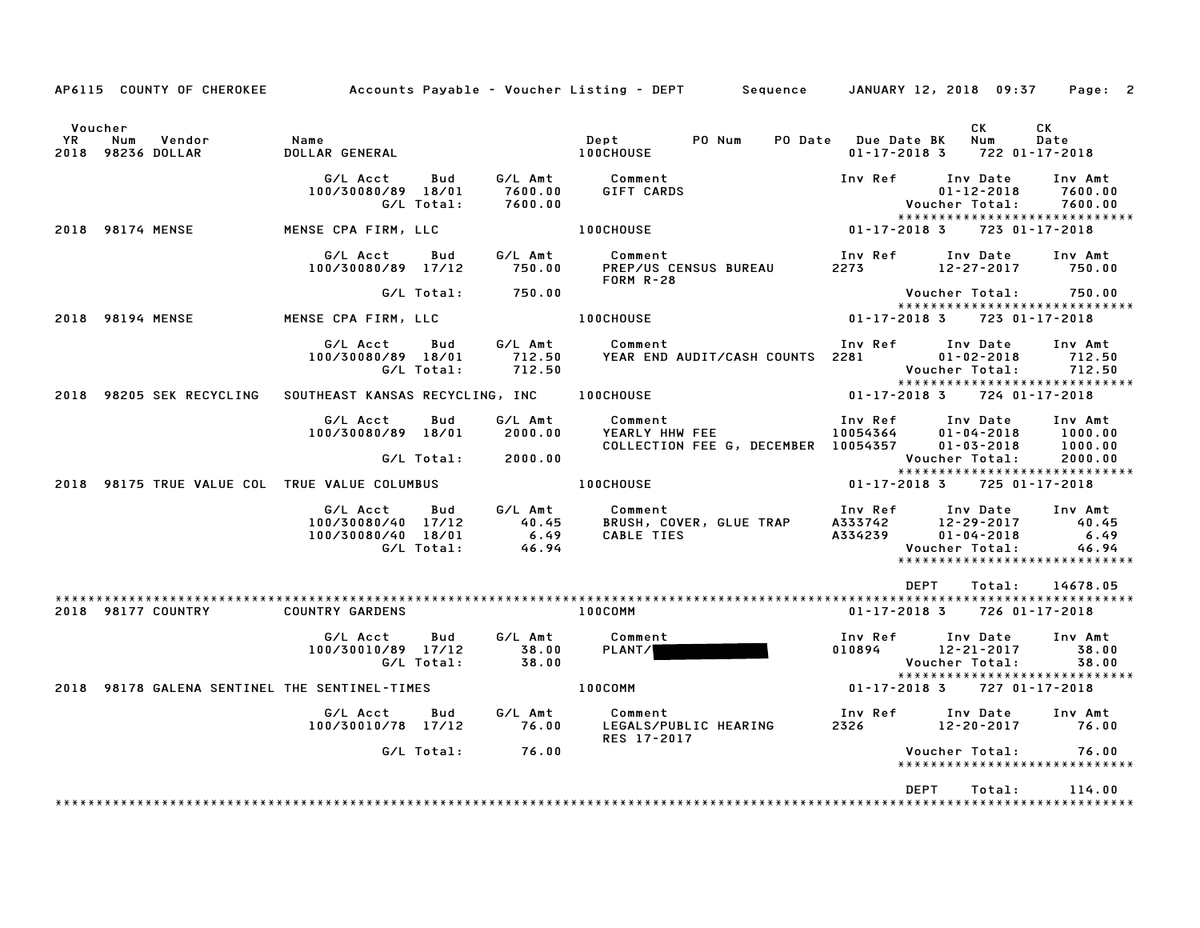|         |                                                              |                                                              |                   |                    | AP6115 COUNTY OF CHEROKEE Accounts Payable – Voucher Listing – DEPT Sequence JANUARY 12, 2018 09:37                                                                                                                                          |                          |                                                                                                 | Page: 2                       |
|---------|--------------------------------------------------------------|--------------------------------------------------------------|-------------------|--------------------|----------------------------------------------------------------------------------------------------------------------------------------------------------------------------------------------------------------------------------------------|--------------------------|-------------------------------------------------------------------------------------------------|-------------------------------|
| Voucher | rk Num Vendor - Name<br>2018 98236 DOLLAR - DOLLAR           |                                                              |                   |                    |                                                                                                                                                                                                                                              | PO Date Due Date BK      | CK<br>Num<br>$01 - 17 - 2018$ 3 722 01-17-2018                                                  | CK<br>Date                    |
|         |                                                              | G/L Acct<br>100/30080/89 18/01                               | Bud<br>G/L Total: | 7600.00            | G/L Amt Comment Inv Ref Inv Date<br>7600.00 GIFT CARDS 01-12-2018<br>7600.00 100CHOUSE 100CHOUSE 01-17-2018 3 723 01                                                                                                                         |                          |                                                                                                 | Inv Amt<br>7600.00<br>7600.00 |
|         | 2018 98174 MENSE                                             | MENSE CPA FIRM, LLC                                          |                   |                    |                                                                                                                                                                                                                                              |                          | *****************************<br>723 01-17-2018                                                 |                               |
|         |                                                              |                                                              |                   |                    | G/L Acct Bud G/L Amt Comment<br>100/30080/89 17/12 750.00 PREP/US CENSUS BUREAU 2273 12-27-2017 750.00<br>$FORM R-28$                                                                                                                        |                          | Inv Ref      Inv Date     Inv Amt                                                               |                               |
|         |                                                              |                                                              |                   | G/L Total: 750.00  |                                                                                                                                                                                                                                              |                          | Voucher Total:          750.00<br>******************************                                |                               |
|         | 2018 98194 MENSE                                             |                                                              |                   |                    | MENSE CPA FIRM, LLC $\overline{100}$ CHOUSE $01-17-20183$                                                                                                                                                                                    |                          | 723 01-17-2018                                                                                  |                               |
|         |                                                              |                                                              |                   |                    | G/L Acct Bud G/L Amt Comment<br>100/30080/89 18/01 712.50 VEAR END AUDIT/CASH COUNTS 2281 100/30080/89 18/01 712.50<br>G/L Total: 712.50 YEAR END AUDIT/CASH COUNTS 2281 Voucher Total: 712.50                                               |                          | Inv Ref Inv Date<br>- VOUCNer Iviai.<br>*****************************<br>-- -- -- -- -- -- --   | Inv Amt                       |
|         |                                                              |                                                              |                   |                    |                                                                                                                                                                                                                                              |                          |                                                                                                 |                               |
|         |                                                              | G/L Acct Bud                                                 |                   | G∕L Amt            | Comment<br>YEARLY HHW FEE 10054364 01-04-2018<br>COLLECTION FEE G, DECEMBER 10054357 01-03-2018                                                                                                                                              |                          | Inv Ref      Inv Date     Inv Amt<br>$01 - 04 - 2018$ 1000.00                                   | 1000.00                       |
|         |                                                              |                                                              |                   | G/L Total: 2000.00 |                                                                                                                                                                                                                                              |                          | Voucher Total:                                                                                  | 2000.00                       |
|         | 2018 98175 TRUE VALUE COL TRUE VALUE COLUMBUS                |                                                              |                   |                    | <b>100CHOUSE</b>                                                                                                                                                                                                                             | $01 - 17 - 2018$ 3       | 725 01-17-2018                                                                                  |                               |
|         |                                                              |                                                              |                   |                    | G/L Acct Bud G/L Amt Comment<br>100/30080/40 17/12 40.45<br>100/30080/40 17/12 40.45 BRUSH, COVER, GLUE TRAP A333742 12-29-2017 40.45<br>100/30080/40 18/01 6.49 CABLE TIES A334239 01-04-2018 6.49<br>G/L Total: 46.94 Voucher Total: 46.94 |                          | Inv Ref Inv Date<br>******************************                                              | Inv Amt                       |
|         |                                                              |                                                              |                   |                    |                                                                                                                                                                                                                                              |                          | DEPT Total: 14678.05                                                                            |                               |
|         | 2018 98177 COUNTRY                                           | <b>COUNTRY GARDENS</b>                                       |                   |                    | 100COMM                                                                                                                                                                                                                                      |                          | 01-17-2018 3 726 01-17-2018                                                                     |                               |
|         |                                                              | G/L Acct Bud<br>100/30010/89 17/12 38.00<br>G/L Total: 38.00 |                   |                    | G/L Amt Comment<br><b>PLANT/</b>                                                                                                                                                                                                             |                          | Inv Ref      Inv Date     Inv Amt<br>1100894<br>010894 12-21-2017 38.00<br>Voucher Total: 38.00 |                               |
|         | 2018 98178 GALENA SENTINEL THE SENTINEL-TIMES <b>100COMM</b> |                                                              |                   |                    |                                                                                                                                                                                                                                              |                          | 01-17-2018 3 727 01-17-2018                                                                     |                               |
|         |                                                              |                                                              |                   |                    | G/L Acct Bud G/L Amt Comment<br>RES 17-2017                                                                                                                                                                                                  | Inv Ref Inv Date Inv Amt | 2326 12-20-2017 76.00                                                                           |                               |
|         |                                                              |                                                              |                   | G/L Total: 76.00   |                                                                                                                                                                                                                                              |                          | Voucher Total: 76.00<br>*****************************                                           |                               |
|         |                                                              |                                                              |                   |                    |                                                                                                                                                                                                                                              | <b>DEPT</b>              | Total:                                                                                          | 114.00                        |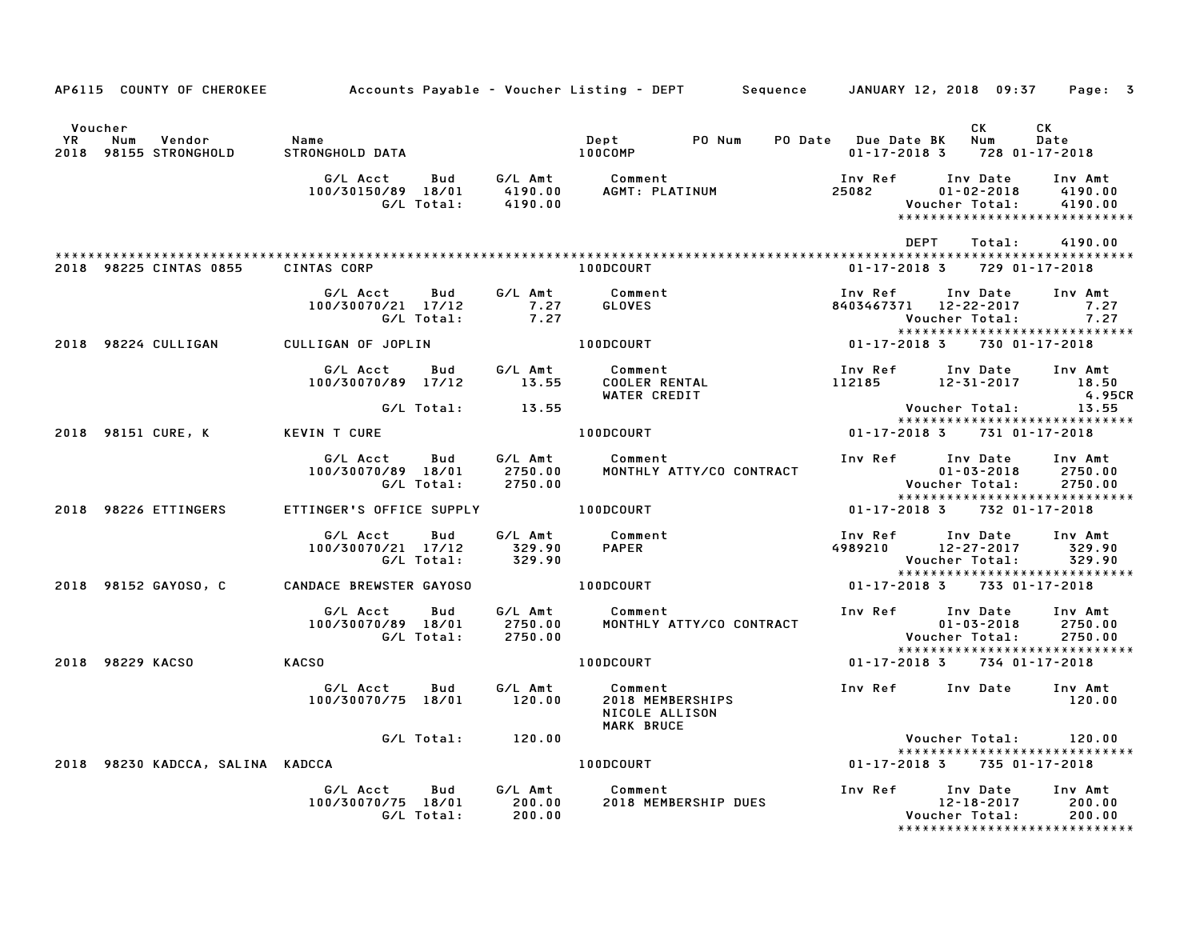|                      |                                                         |                                                                                           |                    | AP6115 COUNTY OF CHEROKEE Accounts Payable - Voucher Listing - DEPT Sequence JANUARY 12, 2018 09:37 Page: 3                                                                                                                               |                                                                                |                                                    |                                                                |
|----------------------|---------------------------------------------------------|-------------------------------------------------------------------------------------------|--------------------|-------------------------------------------------------------------------------------------------------------------------------------------------------------------------------------------------------------------------------------------|--------------------------------------------------------------------------------|----------------------------------------------------|----------------------------------------------------------------|
|                      |                                                         |                                                                                           |                    |                                                                                                                                                                                                                                           |                                                                                |                                                    |                                                                |
| Voucher<br><b>YR</b> | Num<br>Vendor<br>YR Num Vendor<br>2018 98155 STRONGHOLD | Name<br>STRONGHOLD DATA                                                                   |                    |                                                                                                                                                                                                                                           |                                                                                | CK<br>$01 - 17 - 2018$ 3 728 01-17-2018            | CK<br><b>Date</b>                                              |
|                      |                                                         |                                                                                           |                    | G/L Acct     Bud     G/L Amt     Comment                        Inv Ref     Inv Date<br>100/30150/89 18/01     4190.00     AGMT: PLATINUM                 25082         01-02-2018<br>G/L Total:     4190.00                              |                                                                                |                                                    | Inv Amt<br>4190.00<br>4190.00<br>***************************** |
|                      | 2018 98225 CINTAS 0855 CINTAS CORP                      |                                                                                           |                    | <b>100DCOURT</b>                                                                                                                                                                                                                          | DEPT                                                                           | Total:<br>$01 - 17 - 2018$ 3 729 01-17-2018        | 4190.00                                                        |
|                      |                                                         | G/L Acct Bud G/L Amt Comment<br>70/21 17/12 7.27<br>G/L Total: 7.27<br>100/30070/21 17/12 |                    | <b>GLOVES</b>                                                                                                                                                                                                                             | Inv Ref Inv Date Inv Amt<br>8403467371 12-22-2017 7.27                         | Voucher Total: 7.27                                |                                                                |
|                      | 2018 98224 CULLIGAN CULLIGAN OF JOPLIN                  |                                                                                           |                    | $100DC0URT$ 01-17-2018 3 730 01-17-2018                                                                                                                                                                                                   |                                                                                |                                                    | *****************************                                  |
|                      |                                                         |                                                                                           |                    | G/L Acct     Bud     G/L Amt     Comment                         Inv Ref    Inv Date   Inv Amt<br>100/30070/89   17/12         13.55     COOLER RENTAL                         112185       12–31–2017        18<br>4.950<br>WATER CREDIT |                                                                                |                                                    | 4.95CR                                                         |
|                      |                                                         | G/L Total: 13.55                                                                          |                    |                                                                                                                                                                                                                                           |                                                                                | Voucher Total: 13.55                               | *****************************                                  |
|                      | 2018 98151 CURE, K                                      | KEVIN T CURE                                                                              |                    | 100DCOURT                                                                                                                                                                                                                                 | 01-17-2018 3 731 01-17-2018                                                    |                                                    |                                                                |
|                      |                                                         | G/L Acct Bud<br>100/30070/89 18/01<br>G/L Total: 2750.00                                  | G∕L Amt<br>2750.00 | Comment<br>MONTHLY ATTY/CO CONTRACT                                                                                                                                                                                                       | Inv Ref Inv Date Inv Amt                                                       | $01 - 03 - 2018$ 2750.00<br>Voucher Total: 2750.00 |                                                                |
|                      | 2018 98226 ETTINGERS                                    | ETTINGER'S OFFICE SUPPLY 100DCOURT                                                        |                    |                                                                                                                                                                                                                                           |                                                                                | $01 - 17 - 2018$ 3 732 01-17-2018                  | *****************************                                  |
|                      |                                                         |                                                                                           |                    |                                                                                                                                                                                                                                           | Inv Ref Inv Date Inv Amt<br>4989210 12-27-2017 329.90<br>Voucher Total: 329.90 |                                                    |                                                                |
|                      | 2018 98152 GAYOSO, C                                    | <b>CANDACE BREWSTER GAYOSO</b>                                                            |                    | 100DCOURT                                                                                                                                                                                                                                 | 01-17-2018 3 733 01-17-2018                                                    |                                                    |                                                                |
|                      |                                                         | G/L Acct<br>Bud<br>100/30070/89 18/01 2750.00<br>G/L Total: 2750.00                       |                    | G/L Amt Comment<br>MONTHLY ATTY/CO CONTRACT                                                                                                                                                                                               | Inv Ref       Inv Date<br>101-03-2018                                          | $01 - 03 - 2018$<br>Voucher Total:                 | Inv Amt<br>2750.00<br>2750.00                                  |
|                      | 2018 98229 KACSO                                        | <b>KACSO</b>                                                                              |                    | 100DCOURT                                                                                                                                                                                                                                 | 01-17-2018 3 734 01-17-2018                                                    |                                                    | *****************************                                  |
|                      |                                                         | G/L Acct Bud<br>100/30070/75 18/01 120.00                                                 | G⁄L Amt            | Comment<br>2018 MEMBERSHIPS<br>NICOLE ALLISON<br>MARK BRUCE                                                                                                                                                                               | Inv Ref Inv Date Inv Amt                                                       |                                                    | 120.00                                                         |
|                      |                                                         | G/L Total: 120.00                                                                         |                    |                                                                                                                                                                                                                                           |                                                                                | Voucher Total: 120.00                              | *****************************                                  |
|                      | 2018 98230 KADCCA, SALINA KADCCA                        |                                                                                           |                    | 100DCOURT AND ACCOUNT                                                                                                                                                                                                                     | 01-17-2018 3 735 01-17-2018                                                    |                                                    |                                                                |
|                      |                                                         | G/L Acct Bud<br>100/30070/75 18/01<br>G/L Total:                                          | 200.00<br>200.00   | G/L Amt Comment<br>2018 MEMBERSHIP DUES                                                                                                                                                                                                   | Inv Ref      Inv Date     Inv Amt                                              | 12-18-2017<br>Voucher Total: 200.00                | 200.00<br>*****************************                        |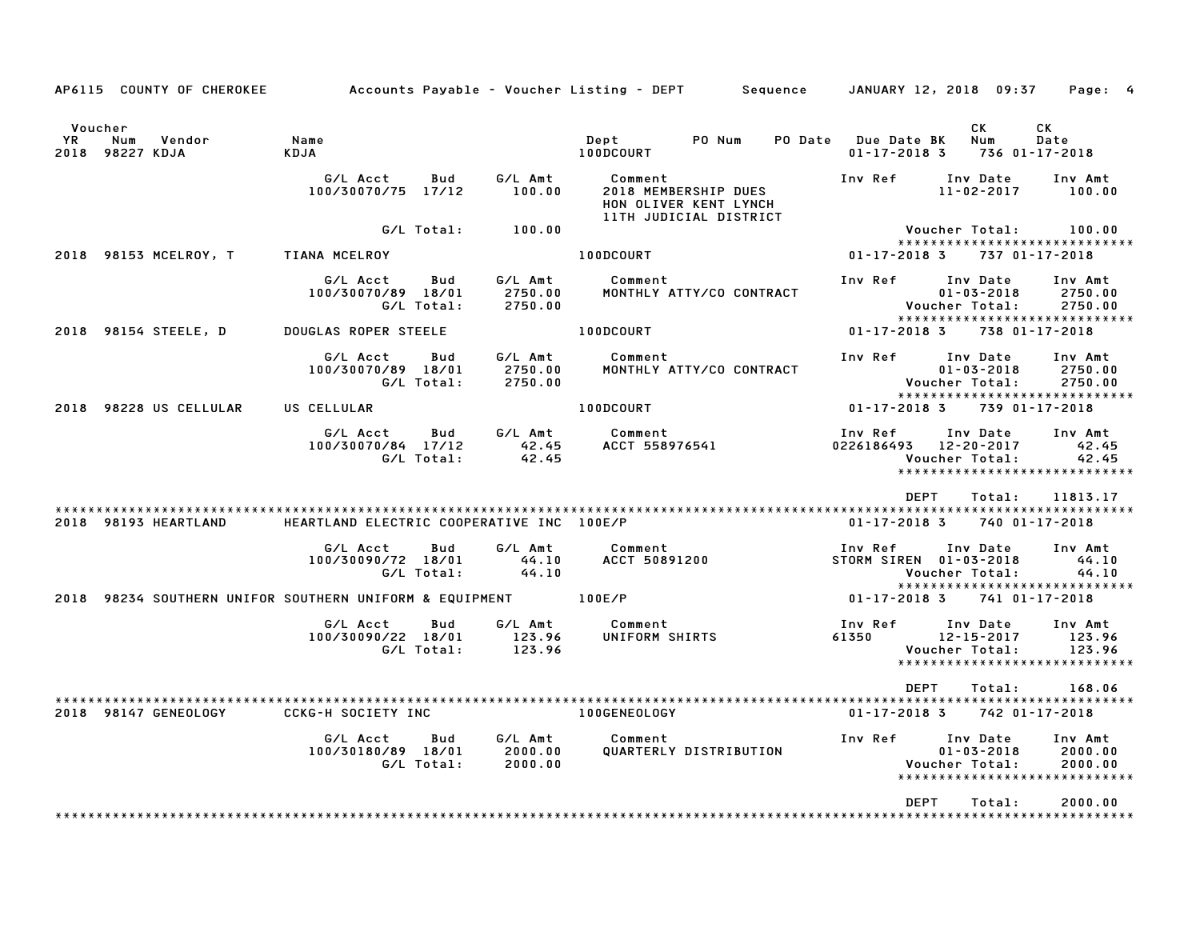|               | AP6115 COUNTY OF CHEROKEE        | Accounts Payable – Voucher Listing – DEPT         Sequence     |                   |                                        |                                                                                    |                        | JANUARY 12, 2018 09:37                     |                                          |                  | Page: 4                                                         |  |
|---------------|----------------------------------|----------------------------------------------------------------|-------------------|----------------------------------------|------------------------------------------------------------------------------------|------------------------|--------------------------------------------|------------------------------------------|------------------|-----------------------------------------------------------------|--|
| Voucher<br>YR | Vendor<br>Num<br>2018 98227 KDJA | Name<br>KDJA                                                   |                   |                                        | Dept<br>100DCOURT                                                                  | PO Num                 | PO Date Due Date BK<br>$01 - 17 - 2018$ 3  |                                          | СK<br>Num        | СK<br>Date<br>736 01-17-2018                                    |  |
|               |                                  | G/L Acct<br>100/30070/75 17/12                                 | Bud               | G/L Amt<br>100.00                      | Comment<br>2018 MEMBERSHIP DUES<br>HON OLIVER KENT LYNCH<br>11TH JUDICIAL DISTRICT |                        | Inv Ref                                    | Inv Date                                 | $11 - 02 - 2017$ | Inv Amt<br>100.00                                               |  |
|               |                                  |                                                                |                   | G/L Total: 100.00                      |                                                                                    |                        |                                            |                                          |                  | Voucher Total: 100.00                                           |  |
|               | 2018 98153 MCELROY, T            | <b>TIANA MCELROY</b>                                           |                   |                                        | 100DCOURT                                                                          |                        | 01-17-2018 3                               |                                          |                  | *****************************<br>737 01-17-2018                 |  |
|               |                                  | G/L Acct<br>100/30070/89 18/01                                 | Bud<br>G/L Total: | G/L Amt<br>2750.00<br>2750.00          | Comment<br>MONTHLY ATTY/CO CONTRACT                                                |                        | Inv Ref Inv Date                           | $01 - 03 - 2018$<br>Voucher Total:       |                  | Inv Amt<br>2750.00<br>2750.00<br>*****************************  |  |
|               | 2018 98154 STEELE, D             | DOUGLAS ROPER STEELE                                           |                   |                                        | 100DCOURT                                                                          |                        | 01-17-2018 3                               |                                          |                  | 738 01-17-2018                                                  |  |
|               |                                  | G/L Acct<br>100/30070/89 18/01                                 | Bud<br>G/L Total: | G/L Amt<br>2750.00<br>2750.00          | Comment<br>MONTHLY ATTY/CO CONTRACT                                                |                        | Inv Ref Inv Date                           | Voucher Total:                           | $01 - 03 - 2018$ | Inv Amt<br>2750.00<br>2750.00<br>*****************************  |  |
|               | 2018 98228 US CELLULAR           | US CELLULAR                                                    |                   |                                        | 100DCOURT                                                                          |                        | $01 - 17 - 2018$ 3                         |                                          |                  | 739 01-17-2018                                                  |  |
|               |                                  | G/L Acct<br>100/30070/84 17/12                                 | Bud<br>G/L Total: | G/L Amt<br>42.45<br>42.45              | Comment<br>Comment<br>ACCT 558976541                                               |                        | Inv Ref<br>0226186493 12-20-2017           | Inv Date<br>Voucher Total:               |                  | Inv Amt<br>42.45<br>42.45<br>*****************************      |  |
|               |                                  |                                                                |                   |                                        |                                                                                    |                        |                                            | <b>DEPT</b>                              | Total:           | 11813.17                                                        |  |
|               | 2018 98193 HEARTLAND             | HEARTLAND ELECTRIC COOPERATIVE INC 100E/P                      |                   |                                        |                                                                                    |                        | $01 - 17 - 2018$ 3                         |                                          |                  | 740 01-17-2018                                                  |  |
|               |                                  | G/L Acct<br>100/30090/72 18/01                                 | Bud<br>G/L Total: | G/L Amt<br>$44.10$<br>$44.10$<br>44.10 | Comment<br>ACCT 50891200                                                           |                        | Inv Ref Inv Date<br>STORM SIREN 01-03-2018 | Voucher Total:                           |                  | Inv Amt<br>44.10<br>44.10<br>*****************************      |  |
|               |                                  | 2018 98234 SOUTHERN UNIFOR SOUTHERN UNIFORM & EQUIPMENT 100E/P |                   |                                        |                                                                                    |                        | 01-17-2018 3                               |                                          |                  | 741 01-17-2018                                                  |  |
|               |                                  | G/L Acct<br>100/30090/22 18/01                                 | Bud<br>G/L Total: | G/L Amt<br>123.96<br>123.96            | Comment<br><b>UNIFORM SHIRTS</b>                                                   |                        | Inv Ref<br>61350                           | Inv Date<br>12-15-2017<br>Voucher Total: |                  | Inv Amt<br>123.96<br>123.96<br>******************************   |  |
|               |                                  |                                                                |                   |                                        |                                                                                    |                        |                                            | DEPT                                     | Total:           | 168.06                                                          |  |
|               | 2018 98147 GENEOLOGY             | <b>CCKG-H SOCIETY INC</b>                                      |                   |                                        | 100GENEOLOGY                                                                       |                        | 01-17-2018 3                               |                                          |                  | 742 01-17-2018                                                  |  |
|               |                                  | G/L Acct<br>100/30180/89 18/01                                 | Bud<br>G/L Total: | G/L Amt<br>2000.00<br>2000.00          | Comment                                                                            | QUARTERLY DISTRIBUTION | Inv Ref      Inv Date                      | $01 - 03 - 2018$<br>Voucher Total:       |                  | Inv Amt<br>2000.00<br>2000.00<br>****************************** |  |
|               |                                  |                                                                |                   |                                        |                                                                                    |                        |                                            | DEPT                                     | Total:           | 2000.00                                                         |  |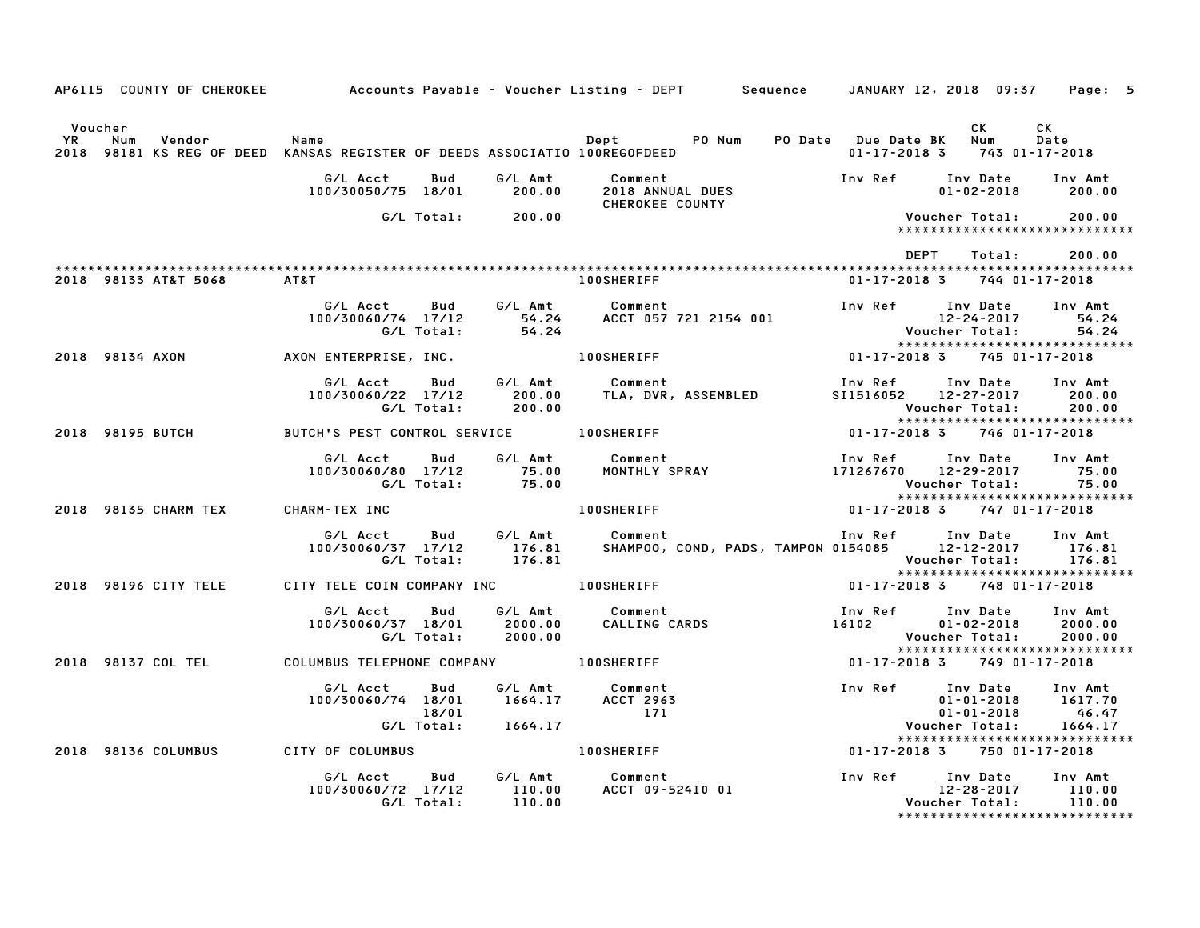|               |                                                            |                                                                                |                           | AP6115 COUNTY OF CHEROKEE Accounts Payable - Voucher Listing - DEPT Sequence JANUARY 12, 2018 09:37 Page: 5                                                                                                         |                                   |                                                                                           |                |                                                      |
|---------------|------------------------------------------------------------|--------------------------------------------------------------------------------|---------------------------|---------------------------------------------------------------------------------------------------------------------------------------------------------------------------------------------------------------------|-----------------------------------|-------------------------------------------------------------------------------------------|----------------|------------------------------------------------------|
| Voucher<br>YR | Num<br>Vendor                                              | Name                                                                           |                           | 2018 98181 KS REG OF DEED KANSAS REGISTER OF DEEDS ASSOCIATIO 100REGOFDEED                                                                                                                                          |                                   | $01 - 17 - 2018$ 3 743 01-17-2018                                                         | CK .           | CK<br>Date                                           |
|               |                                                            |                                                                                |                           | G/L Acct     Bud     G/L Amt     Comment<br>100/30050/75  18/01        200.00     2018 ANNUAL DUES<br>CHEROKEE COUNTY                                                                                               |                                   | Inv Ref Inv Date Inv Amt                                                                  |                | $01 - 02 - 2018$ 200.00                              |
|               |                                                            |                                                                                | G/L Total: 200.00         |                                                                                                                                                                                                                     |                                   | Voucher Total:                                                                            |                | 200.00<br>******************************             |
|               |                                                            |                                                                                |                           |                                                                                                                                                                                                                     |                                   | DEPT                                                                                      | Total:         | 200.00                                               |
|               | 2018 98133 AT&T 5068 AT&T                                  |                                                                                |                           | <b>100SHERIFF</b>                                                                                                                                                                                                   |                                   | 01-17-2018 3 744 01-17-2018                                                               |                |                                                      |
|               |                                                            | G/L Acct Bud<br>100/30060/74 17/12                                             |                           |                                                                                                                                                                                                                     |                                   |                                                                                           |                |                                                      |
|               | 2018 98134 AXON                                            |                                                                                |                           |                                                                                                                                                                                                                     | $01 - 17 - 2018$ 3                |                                                                                           | 745 01-17-2018 |                                                      |
|               |                                                            | G/L Acct                                                                       |                           | Bud G/L Amt Comment<br>100/30060/22 17/12 200.00 TLA, DVR, ASSEMBLED<br>G/L Total: 200.00 TLA, DVR, ASSEMBLED                                                                                                       |                                   | Inv Ref      Inv Date     Inv Amt<br>SI1516052 12-27-2017 200.00<br>Voucher Total: 200.00 |                |                                                      |
|               | 2018 98195 BUTCH                                           |                                                                                |                           | BUTCH'S PEST CONTROL SERVICE 100SHERIFF 01-17-2018 3 746 01-17-2018                                                                                                                                                 |                                   |                                                                                           |                |                                                      |
|               |                                                            |                                                                                |                           |                                                                                                                                                                                                                     |                                   |                                                                                           |                | Inv Amt<br>75.00<br>75.00                            |
|               | 2018 98135 CHARM TEX CHARM-TEX INC                         |                                                                                |                           | 100SHERIFF 01-17-2018 3 747 01-17-2018                                                                                                                                                                              |                                   |                                                                                           |                | ******************************                       |
|               |                                                            |                                                                                |                           | G/L Acct Bud G/L Amt Comment Inv Ref Inv Date Inv Amt<br>100/30060/37 17/12 176.81 SHAMPOO, COND, PADS, TAMPON 0154085 12–12–2017 176.81<br>G/L Total: 176.81 SHAMPOO, COND, PADS, TAMPON 0154085 12–12–2017 176.81 |                                   |                                                                                           |                |                                                      |
|               | 2018 98196 CITY TELE CITY TELE COIN COMPANY INC 100SHERIFF |                                                                                |                           |                                                                                                                                                                                                                     |                                   | 01-17-2018 3 748 01-17-2018                                                               |                |                                                      |
|               |                                                            | G/L Acct Bud<br>100/30060/37 18/01<br>G/L Total:                               |                           |                                                                                                                                                                                                                     |                                   | Voucher Total:                                                                            |                | Inv Amt<br>2000.00<br>2000.00                        |
|               | 2018 98137 COL TEL COLUMBUS TELEPHONE COMPANY 100SHERIFF   |                                                                                |                           |                                                                                                                                                                                                                     | $01 - 17 - 2018$ 3 749 01-17-2018 |                                                                                           |                | *****************************                        |
|               |                                                            | G/L Acct<br>$100/30060/74$ $18/01$ $1664.17$ ACCT 2963<br>18/01                | Bud<br>G/L Total: 1664.17 | G/L Amt Comment<br>171                                                                                                                                                                                              |                                   | Voucher Total: 1664.17                                                                    |                | $01 - 01 - 2018$ $1617.70$<br>$01 - 01 - 2018$ 46.47 |
|               | 2018  98136  COLUMBUS   CITY OF COLUMBUS                   |                                                                                |                           | 100SHERIFF 01-17-2018 3 750 01-17-2018                                                                                                                                                                              |                                   |                                                                                           |                | *****************************                        |
|               |                                                            | G/L Acct Bud G/L Amt Comment<br>100/30060/72 17/12 110.00<br>G/L Total: 110.00 |                           | ACCT 09-52410 01                                                                                                                                                                                                    |                                   |                                                                                           |                |                                                      |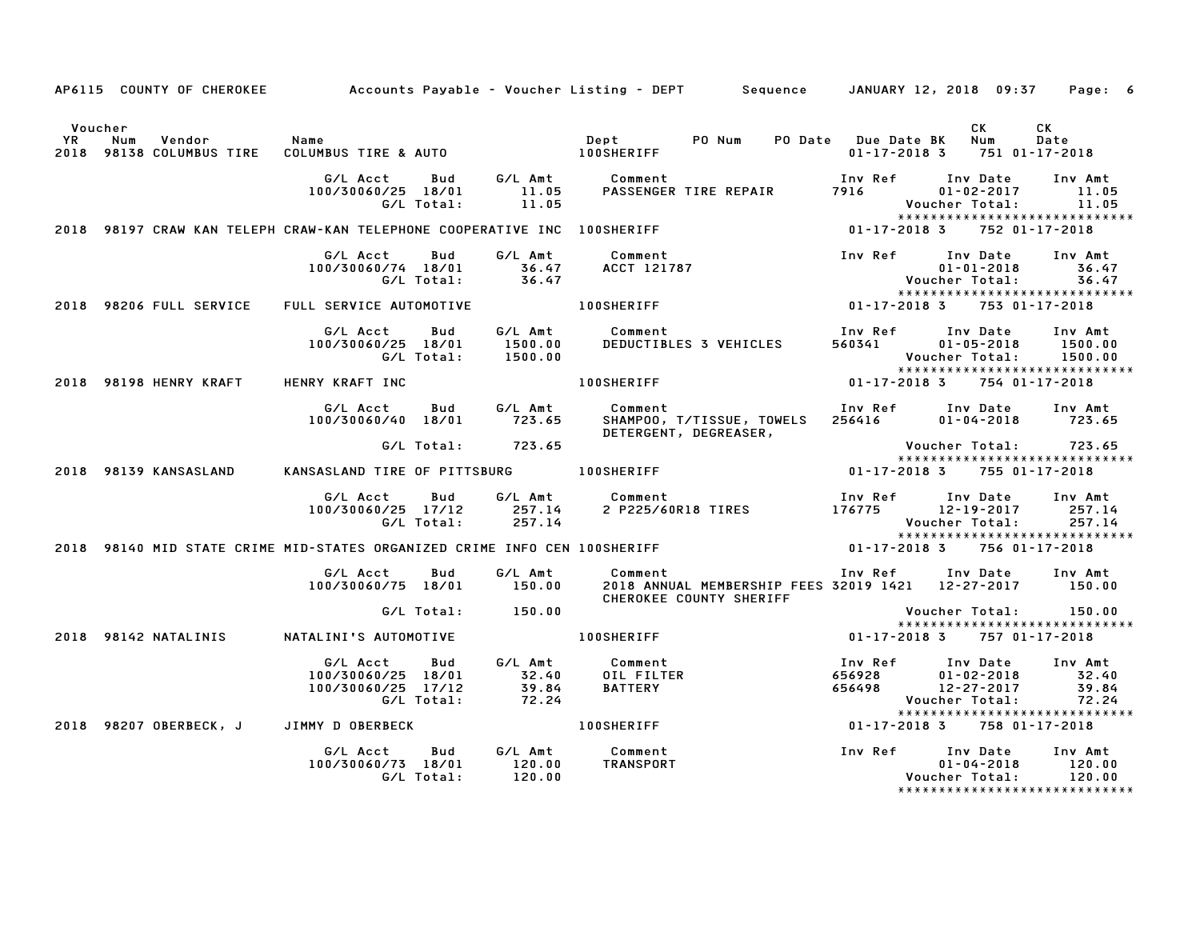|         |                                         |                                                                           |                             | AP6115 COUNTY OF CHEROKEE Accounts Payable - Voucher Listing - DEPT Sequence JANUARY 12, 2018 09:37 Page: 6                                                               |                                                   |                                                        |                                                                     |
|---------|-----------------------------------------|---------------------------------------------------------------------------|-----------------------------|---------------------------------------------------------------------------------------------------------------------------------------------------------------------------|---------------------------------------------------|--------------------------------------------------------|---------------------------------------------------------------------|
| Voucher |                                         |                                                                           |                             |                                                                                                                                                                           |                                                   | CK<br>Num<br>$01 - 17 - 2018$ 3 751 01-17-2018         | СK<br>Date                                                          |
|         |                                         | G/L Acct<br>Bud<br>100/30060/25 18/01<br>G/L Total:                       | 11.05                       | G/L Amt Comment<br>11.05 PASSENGER<br>PASSENGER TIRE REPAIR 7916                                                                                                          | Inv Ref                                           | Inv Date<br>$01 - 02 - 2017$<br>Voucher Total:         | Inv Amt<br>11.05<br>11.05<br>******************************         |
|         |                                         | 2018 98197 CRAW KAN TELEPH CRAW-KAN TELEPHONE COOPERATIVE INC 100SHERIFF  |                             | $01 - 17 - 2018$ 3                                                                                                                                                        |                                                   |                                                        | 752 01-17-2018                                                      |
|         |                                         |                                                                           |                             | 6/L Acct Bud 6/L Amt Comment<br>100/30060/74 18/01 36.47 ACCT 121787 01-01-2018 36.<br>6/L Total: 36.47 Voucher Total: 36.<br>100SHERIFF 121787 01-17-2018 375301-17-2018 |                                                   |                                                        | Inv Amt<br>36.47<br>36.47                                           |
|         | 2018 98206 FULL SERVICE                 | FULL SERVICE AUTOMOTIVE                                                   |                             |                                                                                                                                                                           |                                                   |                                                        |                                                                     |
|         |                                         | G/L Acct<br>Bud<br>100/30060/25 18/01<br>G/L Total:                       | 1500.00<br>1500.00          | G/L Amt Comment<br>DEDUCTIBLES 3 VEHICLES                                                                                                                                 | Inv Ref<br>560341                                 | Inv Date<br>$01 - 05 - 2018$<br>Voucher Total: 1500.00 | Inv Amt<br>1500.00<br>*****************************                 |
|         | 2018 98198 HENRY KRAFT                  | HENRY KRAFT INC                                                           |                             | <b>100SHERIFF</b>                                                                                                                                                         | 01-17-2018 3 754 01-17-2018                       |                                                        |                                                                     |
|         |                                         | G/L Acct<br>Bud<br>100/30060/40 18/01                                     | 723.65                      | G/L Amt Comment<br>SHAMPOO, T/TISSUE, TOWELS 256416<br>DETERGENT, DEGREASER,                                                                                              | Inv Ref      Inv Date                             | $01 - 04 - 2018$ 723.65                                | Inv Amt                                                             |
|         |                                         |                                                                           | G/L Total: 723.65           |                                                                                                                                                                           |                                                   | Voucher Total: 723.65                                  | *****************************                                       |
|         | 2018 98139 KANSASLAND                   | KANSASLAND TIRE OF PITTSBURG 100SHERIFF                                   |                             |                                                                                                                                                                           | 01-17-2018 3 755 01-17-2018                       |                                                        |                                                                     |
|         |                                         | G/L Acct<br>$100/30060/25$ $17/12$ 257.14<br>G/L Total:                   | 257.14                      | Bud G/L Amt Comment                                                                                                                                                       |                                                   | Voucher Total: 257.14                                  | *****************************                                       |
|         |                                         | 2018 98140 MID STATE CRIME MID-STATES ORGANIZED CRIME INFO CEN 100SHERIFF |                             |                                                                                                                                                                           | 01-17-2018 3 756 01-17-2018                       |                                                        |                                                                     |
|         |                                         | G/L Acct   Bud<br>100/30060/75 18/01                                      | 150.00                      | G/L Amt Comment<br>2018 ANNUAL MEMBERSHIP FEES 32019 1421 12-27-2017 150.00<br>CHEROKEE COUNTY SHERIFF                                                                    | Inv Ref Inv Date Inv Amt                          |                                                        |                                                                     |
|         |                                         |                                                                           | G/L Total: 150.00           |                                                                                                                                                                           |                                                   | Voucher Total: 150.00                                  |                                                                     |
|         | 2018 98142 NATALINIS                    | NATALINI'S AUTOMOTIVE                                                     |                             | <b>100SHERIFF</b>                                                                                                                                                         | $01 - 17 - 2018$ 3                                |                                                        | 757 01-17-2018                                                      |
|         |                                         | G/L Acct<br>Bud<br>100/30060/25 18/01<br>100/30060/25 17/12<br>G/L Total: |                             | G/L Amt Comment<br>32.40 OIL FILTER<br>39.84 BATTERY<br>72.24 100SHERIFF                                                                                                  | Inv Ref<br>656928 01-02-2018<br>656498 12-27-2017 | Inv Date<br>Voucher Total:                             | Inv Amt<br>32.40<br>39.84<br>72.24<br>***************************** |
|         | 2018 98207 OBERBECK, J JIMMY D OBERBECK |                                                                           |                             |                                                                                                                                                                           | 01-17-2018 3 758 01-17-2018                       |                                                        |                                                                     |
|         |                                         | Bud<br>G/L Acct<br>100/30060/73 18/01<br>G/L Total:                       | G/L Amt<br>120.00<br>120.00 | Comment<br>TRANSPORT                                                                                                                                                      | Inv Ref Inv Date Inv Amt                          | $01 - 04 - 2018$<br>Voucher Total: 120.00              | 120.00<br>******************************                            |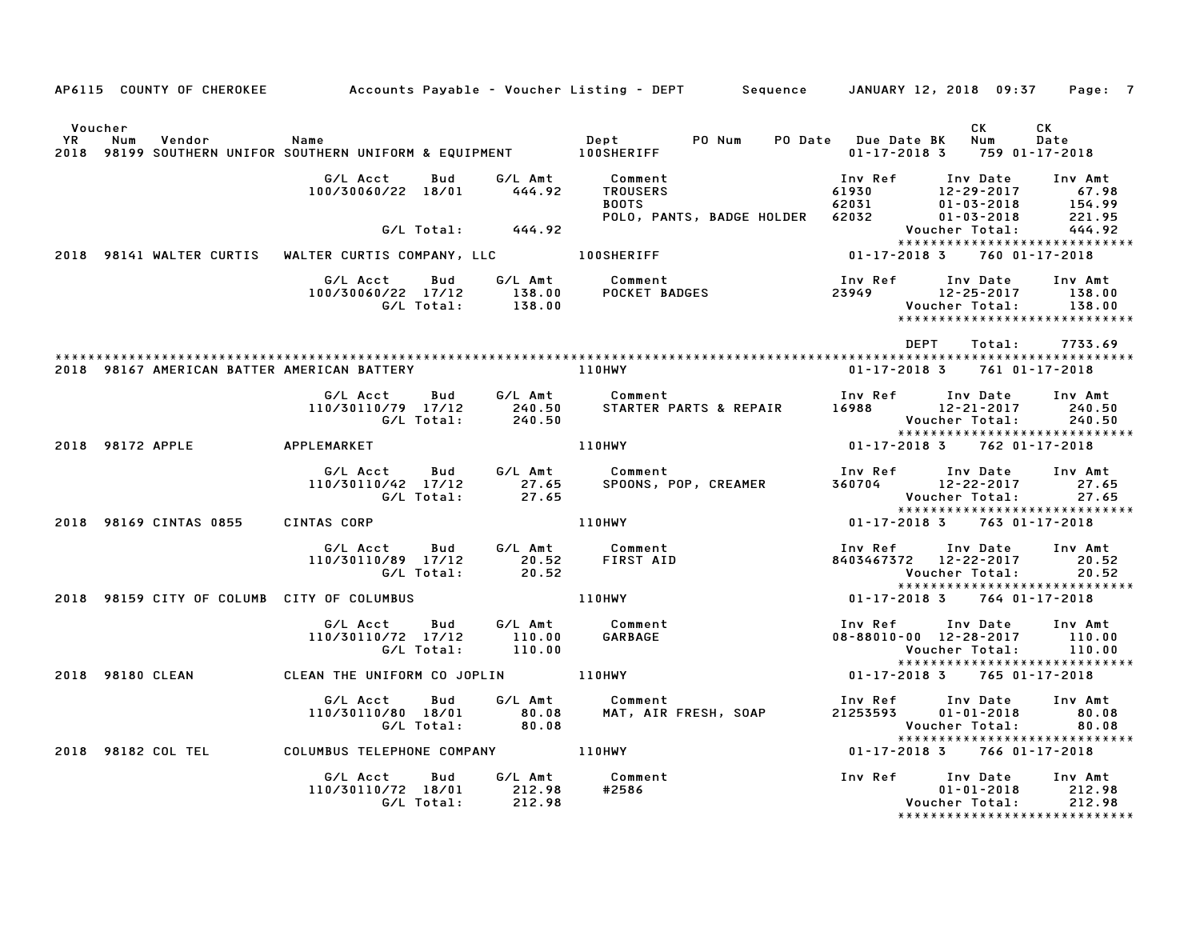|                      |                                            |                                                                            |                  | AP6115 COUNTY OF CHEROKEE Accounts Payable - Voucher Listing - DEPT Sequence JANUARY 12, 2018 09:37 Page: 7                                             |                                                                  |                                    |                                                              |
|----------------------|--------------------------------------------|----------------------------------------------------------------------------|------------------|---------------------------------------------------------------------------------------------------------------------------------------------------------|------------------------------------------------------------------|------------------------------------|--------------------------------------------------------------|
| Voucher<br><b>YR</b> | Num<br>Vendor                              | Name<br>2018 98199 SOUTHERN UNIFOR SOUTHERN UNIFORM & EQUIPMENT 100SHERIFF |                  | Dept PO Num                                                                                                                                             | PO Date Due Date BK Num<br>$01 - 17 - 2018$ 3 759 01-17-2018     | CK                                 | CK<br>Date                                                   |
|                      |                                            | G/L Acct<br>100/30060/22 18/01 444.92                                      |                  | Bud G/L Amt Comment<br>Comment<br>TROUSERS 61930 12-29-2017 67.98<br>BOOTS 62031 01-03-2018 154.99<br>POLO, PANTS, BADGE HOLDER 62032 01-03-2018 221.95 |                                                                  |                                    |                                                              |
|                      |                                            | G/L Total: 444.92                                                          |                  |                                                                                                                                                         |                                                                  | Voucher Total:                     | 444.92                                                       |
|                      |                                            |                                                                            |                  | 2018 98141 WALTER CURTIS WALTER CURTIS COMPANY, LLC 100SHERIFF                                                                                          | $01 - 17 - 2018$ 3                                               |                                    | 760 01-17-2018                                               |
|                      |                                            |                                                                            |                  | G/L Acct  Bud  G/L Amt  Comment<br>100/30060/22 17/12  138.00  POCKET BADGES<br>G/L Total:  138.00                                                      | Inv Ref      Inv Date     Inv Amt<br>23949 12-25-2017 138.00     | Voucher Total:                     | 138.00<br>*****************************                      |
|                      |                                            |                                                                            |                  |                                                                                                                                                         | DEPT                                                             | Total:                             | 7733.69                                                      |
|                      |                                            | 2018 98167 AMERICAN BATTER AMERICAN BATTERY                                |                  | 110HWY                                                                                                                                                  | 01-17-2018 3 761 01-17-2018                                      |                                    |                                                              |
|                      |                                            |                                                                            |                  |                                                                                                                                                         |                                                                  |                                    | 240.50<br>240.50<br>*****************************            |
|                      | 2018 98172 APPLE APPLEMARKET               |                                                                            |                  | <b>110HWY</b>                                                                                                                                           | $01 - 17 - 2018$ 3 762 01-17-2018                                |                                    |                                                              |
|                      |                                            | 110/30110/42 17/12                                                         |                  |                                                                                                                                                         |                                                                  |                                    | Inv Amt<br>27.65<br>27.65<br>*****************************   |
|                      | 2018 98169 CINTAS 0855                     | CINTAS CORP                                                                |                  | 110HWY                                                                                                                                                  | $01 - 17 - 2018$ 3                                               |                                    | 763 01-17-2018                                               |
|                      |                                            | 110/30110/89 17/12 20.52<br>G/L Total: 20.52                               |                  | AS CUNT<br>  G/L Acct   Bud   G/L Amt   Comment<br>!!^/3^11^2^89   17/12   20.52   FIRST AID                                                            | Inv Ref      Inv Date     Inv Amt<br>8403467372 12-22-2017 20.52 | Voucher Total:                     | $\overline{20.52}$<br>*****************************          |
|                      | 2018 98159 CITY OF COLUMB CITY OF COLUMBUS |                                                                            |                  | 110HWY                                                                                                                                                  | 01-17-2018 3 764 01-17-2018                                      |                                    |                                                              |
|                      |                                            | G/L Acct<br>Bud<br>110/30110/72 17/12<br>G/L Total:                        | 110.00<br>110.00 | G/L Amt Comment<br>110.00 GARBAGE                                                                                                                       | Inv Ref Inv Date<br>08-88010-00 12-28-2017                       | Voucher Total: 110.00              | Inv Amt<br>110.00<br>******************************          |
|                      | 2018 98180 CLEAN                           |                                                                            |                  |                                                                                                                                                         | $01 - 17 - 2018$ 3                                               | 765 01-17-2018                     |                                                              |
|                      |                                            | G/LAcct Bud<br>110/30110/80 18/01 80.08<br>G/L Total: 80.08                |                  | G/L Amt Comment                                                                                                                                         |                                                                  | Voucher Total:                     | 80.08<br>******************************                      |
|                      |                                            | 2018 98182 COL TEL COLUMBUS TELEPHONE COMPANY 110HWY                       |                  |                                                                                                                                                         | 01-17-2018 3 766 01-17-2018                                      |                                    |                                                              |
|                      |                                            | G/L Acct<br>Bud<br>110/30110/72 18/01 212.98<br>G/L Total:                 | 212.98           | G/L Amt Comment<br>Inv Ref Inv Date<br>#2586                                                                                                            |                                                                  | $01 - 01 - 2018$<br>Voucher Total: | Inv Amt<br>212.98<br>212.98<br>***************************** |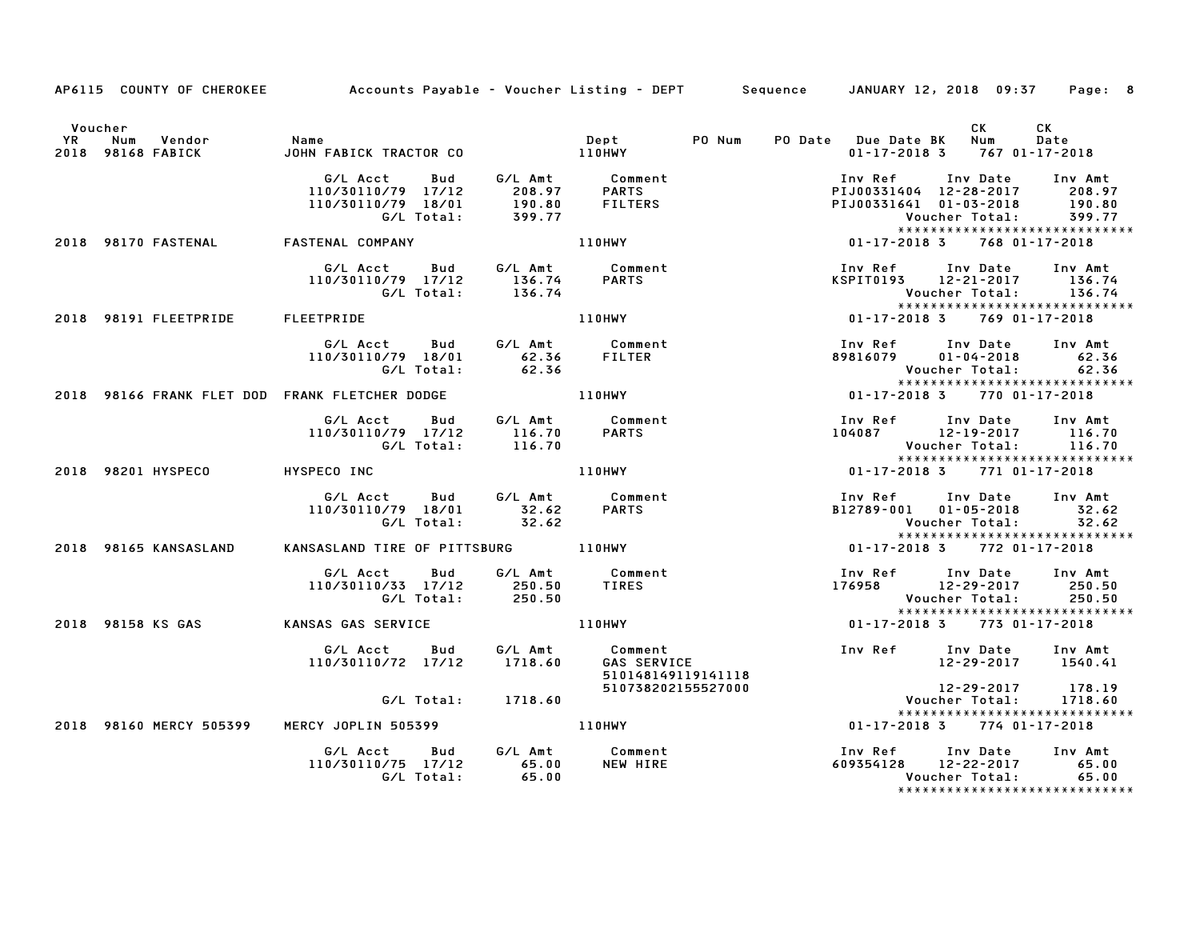| YR | Voucher<br>Vendor<br>Num         | <b>Name</b>                                           |                            |                                          | PO Num | PO Date Due Date BK Num | CK <sub>2</sub>                                                | <b>CK</b><br>Date |
|----|----------------------------------|-------------------------------------------------------|----------------------------|------------------------------------------|--------|-------------------------|----------------------------------------------------------------|-------------------|
|    | 2018 98168 FABICK                | JOHN FABICK TRACTOR CO                                |                            | Dept<br>110HWY                           |        |                         | $01 - 17 - 2018$ 3 767 01-17-2018                              |                   |
|    |                                  | G/L Acct Bud                                          |                            | G/L Amt Comment                          |        | Inv Ref                 | Inv Date Inv Amt<br>PIJ00331404 12-28-2017 208.97              |                   |
|    |                                  | 110/30110/79 17/12<br>110/30110/79 18/01              | 208.97<br>190.80<br>399.77 | <b>PARTS</b><br><b>FILTERS</b>           |        |                         | PIJ00331641 01-03-2018                                         | 190.80            |
|    |                                  | G/L Total:                                            |                            |                                          |        |                         | Voucher Total:                                                 | 399.77            |
|    | 2018 98170 FASTENAL              | FASTENAL COMPANY                                      | <b>110HWY</b>              |                                          |        |                         | *****************************<br>01-17-2018 3 768 01-17-2018   |                   |
|    |                                  | G/L Acct   Bud                                        |                            | G/L Amt Comment<br>136.74 PARTS          |        |                         | Inv Ref      Inv Date                                          | Inv Amt           |
|    |                                  | 110/30110/79 17/12                                    | 136.74                     |                                          |        |                         | KSPIT0193 12-21-2017 136.74                                    |                   |
|    |                                  | G/L Total:                                            | 136.74                     |                                          |        |                         | Voucher Total:         136.74<br>***************************** |                   |
|    | 2018 98191 FLEETPRIDE FLEETPRIDE |                                                       |                            | <b>110HWY</b>                            |        |                         | 01-17-2018 3 769 01-17-2018                                    |                   |
|    |                                  | G/L Acct Bud                                          |                            | G/L Amt Comment                          |        |                         | Inv Ref Inv Date Inv Amt                                       |                   |
|    |                                  | 110/30110/79 18/01                                    | 62.36 FILTER               |                                          |        |                         | 89816079 01-04-2018 62.36                                      |                   |
|    |                                  | G/L Total: 62.36                                      |                            |                                          |        |                         | *****************************                                  |                   |
|    |                                  | 2018 98166 FRANK FLET DOD FRANK FLETCHER DODGE 110HWY |                            |                                          |        |                         | 01-17-2018 3 770 01-17-2018                                    |                   |
|    |                                  | G/L Acct Bud G/L Amt Comment                          |                            |                                          |        |                         | Inv Ref Inv Date Inv Amt                                       |                   |
|    |                                  | 110/30110/79 17/12<br>G/L Total:                      | 116.70<br>116.70           | <b>PARTS</b>                             |        |                         | 104087 12-19-2017 116.70<br>Voucher Total:                     | 116.70            |
|    |                                  |                                                       |                            |                                          |        |                         | *****************************                                  |                   |
|    | 2018 98201 HYSPECO               | HYSPECO INC                                           |                            | 110HWY                                   |        |                         | 01-17-2018 3 771 01-17-2018                                    |                   |
|    |                                  | G/L Acct Bud G/L Amt Comment                          |                            |                                          |        |                         | Inv Ref Inv Date Inv Amt                                       |                   |
|    |                                  | 110/30110/79 18/01 32.62<br>G/L Total: 32.62          |                            | <b>PARTS</b>                             |        |                         | B12789-001 01-05-2018 32.62<br>Voucher Total: 32.62            |                   |
|    |                                  |                                                       |                            |                                          |        |                         | *****************************                                  |                   |
|    | 2018 98165 KANSASLAND            | KANSASLAND TIRE OF PITTSBURG 110HWY                   |                            |                                          |        |                         | 01-17-2018 3 772 01-17-2018                                    |                   |
|    |                                  | G/L Acct Bud                                          |                            | G/L Amt Comment                          |        |                         | Inv Ref Inv Date                                               | Inv Amt           |
|    |                                  | 110/30110/33 17/12                                    | 250.50                     | TIRES                                    |        |                         | 176958 12-29-2017                                              | 250.50            |
|    |                                  | G/L Total:                                            | 250.50                     |                                          |        |                         | Voucher Total:<br>*****************************                | 250.50            |
|    | 2018 98158 KS GAS                | KANSAS GAS SERVICE                                    |                            | 110HWY                                   |        |                         | 01-17-2018 3 773 01-17-2018                                    |                   |
|    |                                  | G/L Acct<br>Bud                                       |                            | G/L Amt Comment<br>1718.60 GAS SERVI     |        |                         | Inv Ref Inv Date                                               | Inv Amt           |
|    |                                  | 110/30110/72 17/12 1718.60                            |                            | <b>GAS SERVICE</b><br>510148149119141118 |        |                         | 12-29-2017 1540.41                                             |                   |
|    |                                  |                                                       |                            | 510738202155527000                       |        |                         | $12 - 29 - 2017$                                               | 178.19            |
|    |                                  | G/L Total: 1718.60                                    |                            |                                          |        |                         | Voucher Total:<br>******************************               | 1718.60           |
|    | 2018 98160 MERCY 505399          | MERCY JOPLIN 505399 110HWY                            |                            |                                          |        |                         | $01 - 17 - 2018$ 3 774 01-17-2018                              |                   |
|    |                                  | G/L Acct Bud                                          |                            |                                          |        |                         | Inv Ref Inv Date                                               | Inv Amt           |
|    |                                  | 110/30110/75 17/12                                    | $65.00$<br>$65.00$         | G/L Amt Comment<br>65.00 NEW HIRE        |        |                         | 609354128 12-22-2017                                           | 65.00             |
|    |                                  | G/L Total:                                            |                            |                                          |        |                         | Voucher Total:<br>*****************************                | 65.00             |

AP6115 COUNTY OF CHEROKEE Accounts Payable - Voucher Listing - DEPT Sequence JANUARY 12, 2018 09:37 Page: 8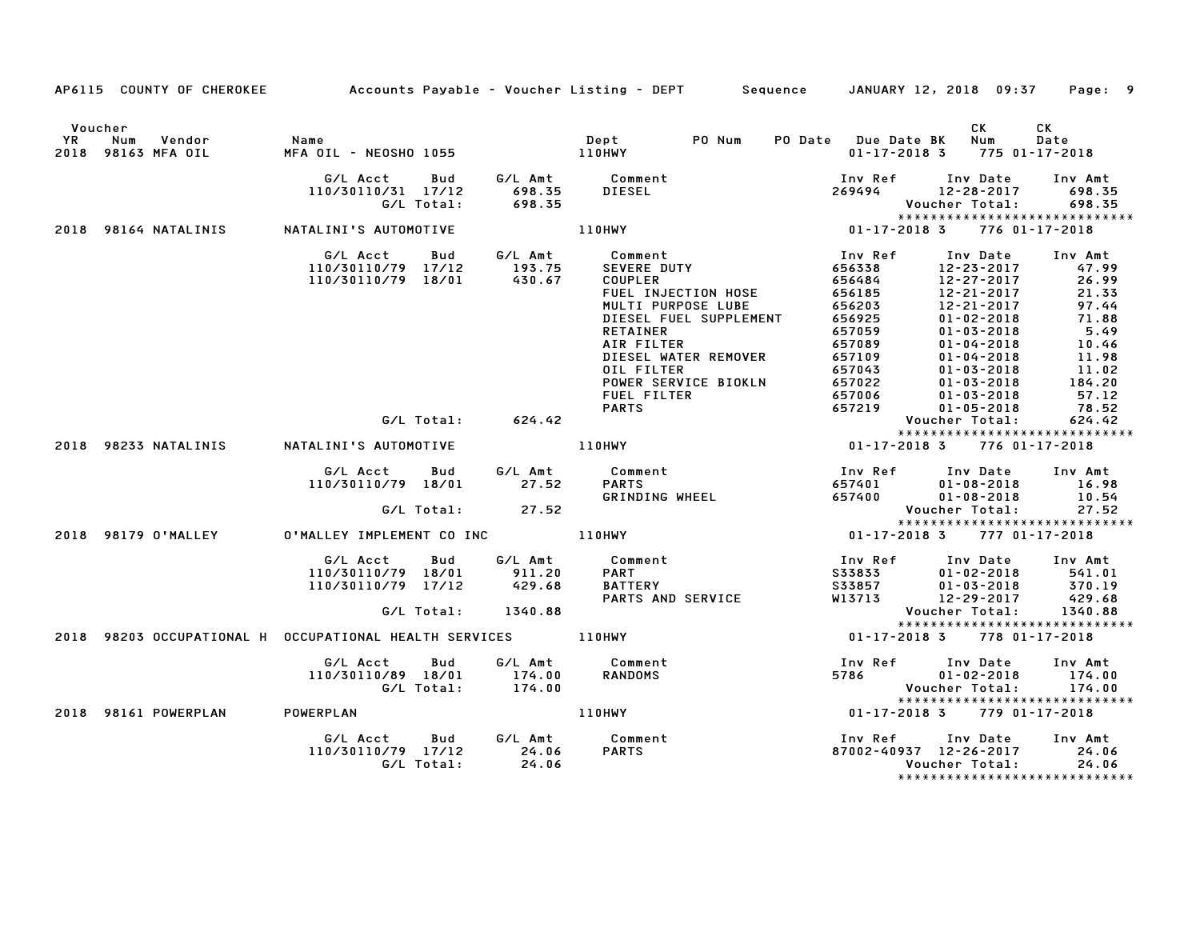|                      |                                                               |                                                                                        |                                | AP6115 COUNTY OF CHEROKEE Accounts Payable - Voucher Listing - DEPT Sequence JANUARY 12, 2018 09:37 Page: 9                                                                                                                                                                                                                                                                                                                                                                                                                                                                                             |         |                                                                                                                                                          |                                                                                                                                           |
|----------------------|---------------------------------------------------------------|----------------------------------------------------------------------------------------|--------------------------------|---------------------------------------------------------------------------------------------------------------------------------------------------------------------------------------------------------------------------------------------------------------------------------------------------------------------------------------------------------------------------------------------------------------------------------------------------------------------------------------------------------------------------------------------------------------------------------------------------------|---------|----------------------------------------------------------------------------------------------------------------------------------------------------------|-------------------------------------------------------------------------------------------------------------------------------------------|
| Voucher<br><b>YR</b> | Num<br>Vendor<br>2018 98163 MFA OIL                           | Name                                                                                   |                                |                                                                                                                                                                                                                                                                                                                                                                                                                                                                                                                                                                                                         |         | <b>CK</b><br>PO Date Due Date BK Num<br>$01 - 17 - 2018$ 3 775 01-17-2018                                                                                | CK.<br>Date                                                                                                                               |
|                      |                                                               | G/L Acct<br>110/30110/31 17/12                                                         | 698.35                         | Bud G/L Amt Comment<br><b>DIESEL</b>                                                                                                                                                                                                                                                                                                                                                                                                                                                                                                                                                                    |         | Inv Ref      Inv Date     Inv Amt<br>269494 12-28-2017 698.35                                                                                            |                                                                                                                                           |
|                      |                                                               |                                                                                        |                                |                                                                                                                                                                                                                                                                                                                                                                                                                                                                                                                                                                                                         |         |                                                                                                                                                          | *****************************                                                                                                             |
|                      |                                                               | G/L Acct Bud G/L Amt Comment<br>110/30110/79 17/12 193.75<br>110/30110/79 18/01 430.67 |                                | Example: Thy Ref Inv Ref Inv Ref Inv Ref Inv Ref Inv Ref Inv Ref Inv Ref Inv Ref Inv Ref Inv Ref Inv Ref Inv R<br>COUPLER Inv Ref Inv Ref Inv Ref Inv Ref Inv Ref Inv Ref Inv Ref Inv Ref Inv Ref Inv Ref Inv Ref Inv Ref Inv Ref<br>COUPLER<br>FUEL INJECTION HOSE<br>MULTI PURPOSE LUBE<br>DIESEL FUEL SUPPLEMENT<br>RETAINER<br>AIR FILTER<br>DIESEL WATER REMOVER<br>OIL FILTER<br>011 FILTER 657043 01-03-2018 11.<br>POWER SERVICE BIOKLN 657022 01-03-2018 184.<br>FUEL FILTER 657016 01-03-2018 57.<br>PARTS 657219 01-05-2018 78.<br>Voucher Total: 624.<br>110HWY 01-17-2018 3 776 01-17-2018 |         | 12-23-2017<br>12-27-2017<br>12-21-2017<br>12-21-2017<br>$01 - 02 - 2018$<br>$01 - 03 - 2018$<br>$01 - 04 - 2018$<br>$01 - 04 - 2018$<br>$01 - 03 - 2018$ | Inv Date Inv Amt<br>47.99<br>26.99<br>21.33<br>97.44<br>$97.44$<br>$71.88$<br>5.49<br>10.46<br>11.98<br>11.02<br>184.20<br>57.12<br>78.52 |
|                      |                                                               |                                                                                        | G/L Total: 624.42              |                                                                                                                                                                                                                                                                                                                                                                                                                                                                                                                                                                                                         |         |                                                                                                                                                          | 624.42<br>******************************                                                                                                  |
|                      | 2018 98233 NATALINIS     NATALINI'S AUTOMOTIVE                |                                                                                        |                                |                                                                                                                                                                                                                                                                                                                                                                                                                                                                                                                                                                                                         |         |                                                                                                                                                          |                                                                                                                                           |
|                      |                                                               | G/L Acct<br>110/30110/79 18/01 27.52                                                   | <b>Bud</b><br>G/L Total: 27.52 | G/L Amt Comment<br>27 52 PARTS<br>Comment Inv Ref Inv Date Inv Amt<br>PARTS 657401 01-08-2018 16.98<br>GRINDING WHEEL 657400 01-08-2018 10.54<br>Voucher Total: 27.52                                                                                                                                                                                                                                                                                                                                                                                                                                   |         |                                                                                                                                                          |                                                                                                                                           |
|                      | 2018 98179 O'MALLEY                                           |                                                                                        |                                |                                                                                                                                                                                                                                                                                                                                                                                                                                                                                                                                                                                                         |         |                                                                                                                                                          | *****************************                                                                                                             |
|                      |                                                               | G/L Acct Bud<br>110/30110/79 18/01<br>110/30110/79 17/12 429.68                        | 911.20<br>G/L Total: 1340.88   | G/L Amt Comment<br><b>PART</b><br>ranı<br>BATTERY<br>PARTS AND SERVICE                                                                                                                                                                                                                                                                                                                                                                                                                                                                                                                                  |         | 1nv Ref 1nv Date 1nv Amt<br>S33833 01-02-2018 541.01<br>SERVICE W13713 12-29-2017 429.68<br>Voucher Total:                                               | 01-02-2018<br>01-03-2018 541.01<br>01-03-2018 370.19<br>12-29-2017 429.68<br>1340.88                                                      |
|                      | 2018 98203 OCCUPATIONAL H OCCUPATIONAL HEALTH SERVICES 110HWY |                                                                                        |                                |                                                                                                                                                                                                                                                                                                                                                                                                                                                                                                                                                                                                         |         | $01 - 17 - 2018$ 3 $778$ $01 - 17 - 2018$                                                                                                                | *****************************                                                                                                             |
|                      |                                                               | G/L Acct<br>110/30110/89 18/01 174.00<br>G/L Total: 174.00                             | <b>Bud</b>                     | G/L Amt Comment<br><b>RANDOMS</b>                                                                                                                                                                                                                                                                                                                                                                                                                                                                                                                                                                       |         |                                                                                                                                                          | *****************************                                                                                                             |
|                      | 2018 98161 POWERPLAN POWERPLAN                                |                                                                                        |                                | 110HWY                                                                                                                                                                                                                                                                                                                                                                                                                                                                                                                                                                                                  |         | $01 - 17 - 2018$ 3 779 01-17-2018                                                                                                                        |                                                                                                                                           |
|                      |                                                               | G/L Acct Bud<br>110/30110/79 17/12 24.06<br>G/L Total:                                 | 24.06                          | G/L Amt Comment<br><b>PARTS</b>                                                                                                                                                                                                                                                                                                                                                                                                                                                                                                                                                                         | Inv Ref | Inv Date<br>87002-40937 12-26-2017 24.06<br>Voucher Total:                                                                                               | Inv Amt<br>24.06                                                                                                                          |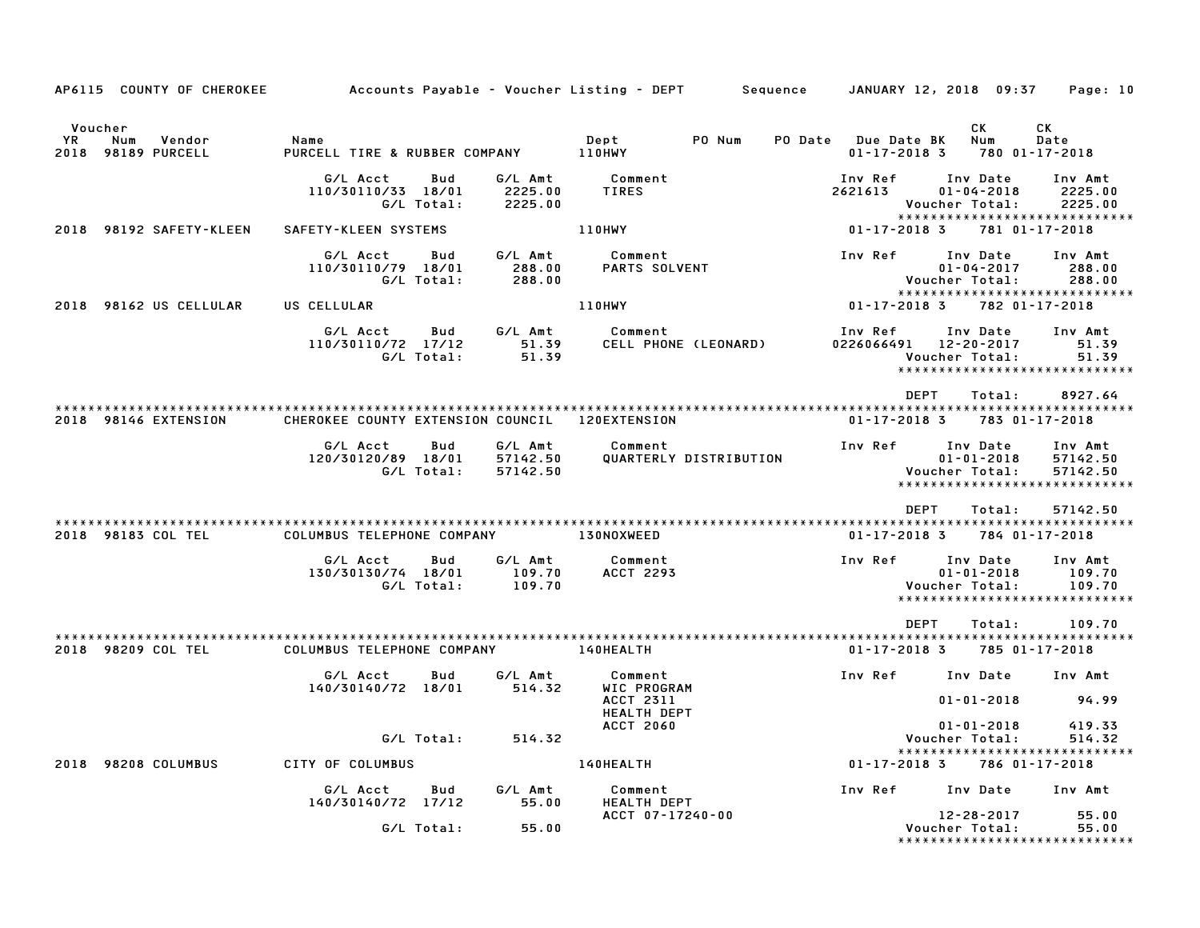| AP6115 COUNTY OF CHEROKEE                                | Accounts Payable – Voucher Listing – DEPT         Sequence     JANUARY 12, 2018  09:37 |                   |                                 |                                         |        |                                           |                                                                                      | Page: 10                        |
|----------------------------------------------------------|----------------------------------------------------------------------------------------|-------------------|---------------------------------|-----------------------------------------|--------|-------------------------------------------|--------------------------------------------------------------------------------------|---------------------------------|
| Voucher<br>YR.<br>Num<br>Vendor<br>98189 PURCELL<br>2018 | Name<br>PURCELL TIRE & RUBBER COMPANY                                                  |                   |                                 | Dept<br>110HWY                          | PO Num | PO Date Due Date BK<br>$01 - 17 - 2018$ 3 | СK<br>Num                                                                            | CK<br>Date<br>780 01-17-2018    |
|                                                          | G/L Acct<br>110/30110/33 18/01                                                         | Bud<br>G/L Total: | G/L Amt<br>2225.00<br>2225.00   | Comment<br>TIRES                        |        | Inv Ref<br>2621613                        | Inv Date<br>$01 - 04 - 2018$<br>Voucher Total:<br>*****************************      | Inv Amt<br>2225.00<br>2225.00   |
| 2018 98192 SAFETY-KLEEN                                  | SAFETY-KLEEN SYSTEMS                                                                   |                   |                                 | <b>110HWY</b>                           |        | 01-17-2018 3                              |                                                                                      | 781 01-17-2018                  |
|                                                          | G/L Acct<br>110/30110/79 18/01                                                         | Bud<br>G/L Total: | G/L Amt<br>288.00<br>288.00     | Comment<br><b>PARTS SOLVENT</b>         |        | Inv Ref                                   | Inv Date<br>$01 - 04 - 2017$<br>Voucher Total:<br>*****************************      | Inv Amt<br>288.00<br>288.00     |
| 2018 98162 US CELLULAR                                   | US CELLULAR                                                                            |                   |                                 | 110HWY                                  |        | $01 - 17 - 2018$ 3                        |                                                                                      | 782 01-17-2018                  |
|                                                          | G/L Acct<br>110/30110/72 17/12                                                         | Bud<br>G/L Total: | G/L Amt<br>51.39<br>51.39       | Comment<br>CELL PHONE (LEONARD)         |        | Inv Ref                                   | Inv Date<br>0226066491 12-20-2017<br>Voucher Total:<br>***************************** | Inv Amt<br>51.39<br>51.39       |
|                                                          |                                                                                        |                   |                                 |                                         |        | DEPT                                      | Total:                                                                               | 8927.64                         |
| 2018 98146 EXTENSION                                     | CHEROKEE COUNTY EXTENSION COUNCIL 120EXTENSION                                         |                   |                                 |                                         |        | 01-17-2018 3                              |                                                                                      | 783 01-17-2018                  |
|                                                          | G/L Acct<br>120/30120/89 18/01                                                         | Bud<br>G/L Total: | G/L Amt<br>57142.50<br>57142.50 | Comment<br>QUARTERLY DISTRIBUTION       |        | Inv Ref                                   | Inv Date<br>$01 - 01 - 2018$<br>Voucher Total:<br>*****************************      | Inv Amt<br>57142.50<br>57142.50 |
|                                                          |                                                                                        |                   |                                 |                                         |        | DEPT                                      | Total:                                                                               | 57142.50                        |
| 2018 98183 COL TEL                                       | COLUMBUS TELEPHONE COMPANY                                                             |                   |                                 | <b>130NOXWEED</b>                       |        | 01-17-2018 3                              |                                                                                      | 784 01-17-2018                  |
|                                                          | G/L Acct<br>130/30130/74 18/01                                                         | Bud<br>G/L Total: | G/L Amt<br>109.70<br>109.70     | Comment<br><b>ACCT 2293</b>             |        | <b>Inv Ref</b>                            | Inv Date<br>$01 - 01 - 2018$<br>Voucher Total:<br>*****************************      | Inv Amt<br>109.70<br>109.70     |
| 2018 98209 COL TEL                                       | COLUMBUS TELEPHONE COMPANY                                                             |                   |                                 | 140HEALTH                               |        | DEPT<br>$01 - 17 - 2018$ 3                | Total:                                                                               | 109.70<br>785 01-17-2018        |
|                                                          | G/L Acct                                                                               | Bud               | G/L Amt                         | Comment                                 |        | Inv Ref                                   | Inv Date                                                                             | Inv Amt                         |
|                                                          | 140/30140/72 18/01                                                                     |                   | 514.32                          | WIC PROGRAM<br>ACCT 2311<br>HEALTH DEPT |        |                                           | $01 - 01 - 2018$                                                                     | 94.99                           |
|                                                          |                                                                                        | G/L Total:        | 514.32                          | <b>ACCT 2060</b>                        |        |                                           | $01 - 01 - 2018$<br>Voucher Total:                                                   | 419.33<br>514.32                |
| 2018 98208 COLUMBUS                                      | CITY OF COLUMBUS                                                                       |                   |                                 | 140HEALTH                               |        | 01-17-20183                               | *****************************                                                        | 786 01-17-2018                  |
|                                                          | G/L Acct<br>140/30140/72 17/12                                                         | Bud               | G/L Amt<br>55.00                | Comment<br><b>HEALTH DEPT</b>           |        |                                           | Inv Ref Inv Date                                                                     | Inv Amt                         |
|                                                          |                                                                                        | G/L Total:        | 55.00                           | ACCT 07-17240-00                        |        |                                           | 12-28-2017<br>Voucher Total:<br>*******************************                      | 55.00<br>55.00                  |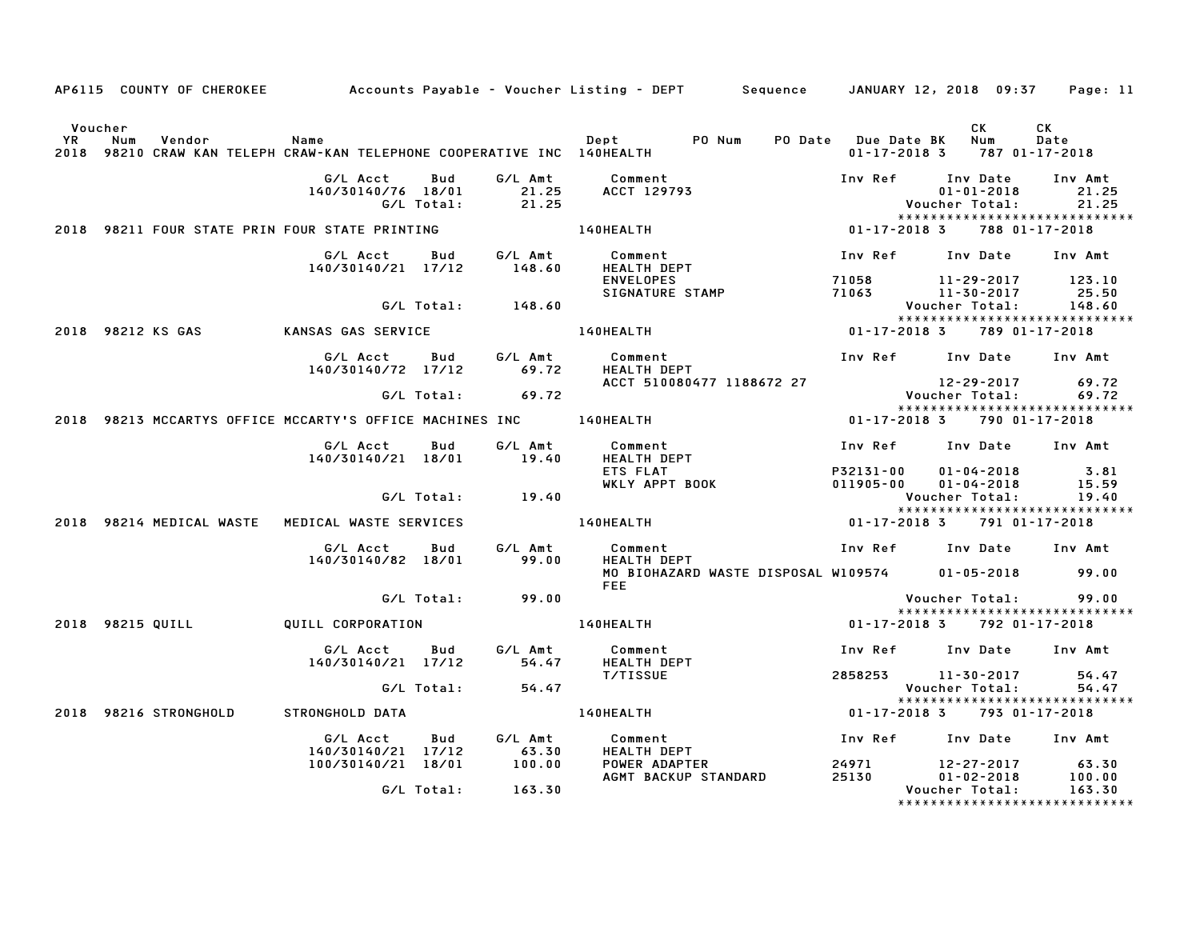|                      |                                                                                          |                                                       |                   |                       | AP6115 COUNTY OF CHEROKEE Accounts Payable - Voucher Listing - DEPT Sequence JANUARY 12, 2018 09:37 Page: 11 |                                                                      |                                              |                                         |
|----------------------|------------------------------------------------------------------------------------------|-------------------------------------------------------|-------------------|-----------------------|--------------------------------------------------------------------------------------------------------------|----------------------------------------------------------------------|----------------------------------------------|-----------------------------------------|
| Voucher<br><b>YR</b> | Num<br>Vendor<br>2018 98210 CRAW KAN TELEPH CRAW-KAN TELEPHONE COOPERATIVE INC 140HEALTH | Name                                                  |                   |                       | Dept PO Num PO Date Due Date BK Num<br>140HEAITH 1870                                                        |                                                                      | CK<br>$01 - 17 - 2018$ 3 787 01 - 17 - 2018  | CK<br>Date                              |
|                      |                                                                                          | G/L Acct                                              | Bud               | G/L Amt               | Comment<br>140/30140/76 18/01 21.25 ACCT 129793<br>G/L Total: 21.25<br><b>140HEALTH<br/>Comment</b>          | Inv Ref Inv Date Inv Amt                                             | $01 - 01 - 2018$<br>Voucher Total:           | 21.25<br>21.25                          |
|                      | 2018 98211 FOUR STATE PRIN FOUR STATE PRINTING                                           |                                                       |                   |                       |                                                                                                              | 01-17-2018 3                                                         |                                              | 788 01-17-2018                          |
|                      |                                                                                          | G/L Acct<br>140/30140/21 17/12                        |                   | Bud G/L Amt<br>148.60 | <b>HEALTH DEPT</b><br><b>ENVELOPES</b>                                                                       | Inv Ref Inv Date<br>71058                                            | 11-29-2017 123.10                            | Inv Amt                                 |
|                      |                                                                                          |                                                       |                   | G/L Total: 148.60     | SIGNATURE STAMP                                                                                              | 71063<br>71063 11-30-2017 25.50<br>Voucher Total: 148.60             |                                              |                                         |
|                      | 2018 98212 KS GAS                                                                        | KANSAS GAS SERVICE                                    |                   |                       | <b>140HEALTH</b>                                                                                             | 01-17-2018 3 789 01-17-2018                                          |                                              |                                         |
|                      |                                                                                          | G/L Acct Bud G/L Amt<br>$140/30140/72$ $17/12$ 69.72  |                   |                       | <b>Comment</b><br><b>HEALTH DEPT</b>                                                                         | Inv Ref Inv Date Inv Amt                                             |                                              |                                         |
|                      |                                                                                          |                                                       |                   | $G/L$ Total: 69.72    | ACCT 510080477 1188672 27                                                                                    |                                                                      | 89.72 / 12-29-2017<br>29.72 / Voucher Total: |                                         |
|                      |                                                                                          |                                                       |                   |                       |                                                                                                              |                                                                      |                                              | *****************************           |
|                      | 2018 98213 MCCARTYS OFFICE MCCARTY'S OFFICE MACHINES INC 140HEALTH                       |                                                       |                   |                       |                                                                                                              | 01-17-2018 3 790 01-17-2018                                          |                                              |                                         |
|                      |                                                                                          | G/L Acct Bud G/L Amt<br>140/30140/21 18/01 19.40      |                   |                       | Comment<br><b>HEALTH DEPT</b>                                                                                | Inv Ref Inv Date Inv Amt                                             |                                              |                                         |
|                      |                                                                                          |                                                       |                   |                       | ETS FLAT<br><b>EIS FLAI<br/>WKLY APPT BOOK</b>                                                               | P32131-00<br>P32131-00 01-04-2018 3.81<br>011905-00 01-04-2018 15.59 |                                              |                                         |
|                      |                                                                                          |                                                       |                   | G/L Total: 19.40      |                                                                                                              |                                                                      | Voucher Total:                               | 19.40<br>****************************** |
|                      | 2018 98214 MEDICAL WASTE MEDICAL WASTE SERVICES                                          |                                                       |                   |                       | 140HEALTH                                                                                                    | 01-17-2018 3 791 01-17-2018                                          |                                              |                                         |
|                      |                                                                                          | G/L Acct Bud<br>140/30140/82 18/01 99.00              |                   | G/L Amt               | Comment<br><b>HEALTH DEPT</b>                                                                                | Inv Ref Inv Date Inv Amt                                             |                                              |                                         |
|                      |                                                                                          |                                                       |                   |                       | MO BIOHAZARD WASTE DISPOSAL W109574 01-05-2018 99.00<br><b>FFF</b>                                           |                                                                      |                                              |                                         |
|                      |                                                                                          |                                                       |                   | G/L Total: 99.00      |                                                                                                              |                                                                      | Voucher Total: 99.00                         |                                         |
|                      | 2018 98215 QUILL                                                                         |                                                       |                   |                       | QUILL CORPORATION <b>140HEALTH</b>                                                                           | 01-17-2018 3 792 01-17-2018                                          |                                              | ******************************          |
|                      |                                                                                          | G/L Acct Bud<br>140/30140/21 17/12                    |                   | G/L Amt               | Comment<br>54.47 HEALTH DEPT                                                                                 | Inv Ref      Inv Date     Inv Amt                                    |                                              |                                         |
|                      |                                                                                          |                                                       |                   |                       | T/TISSUE                                                                                                     | 2858253 11-30-2017 54.47                                             |                                              |                                         |
|                      |                                                                                          |                                                       |                   | G/L Total: 54.47      |                                                                                                              |                                                                      | Voucher Total: 54.47                         | *****************************           |
|                      | 2018 98216 STRONGHOLD                                                                    | STRONGHOLD DATA                                       |                   |                       | 140HEALTH                                                                                                    | $01 - 17 - 2018$ 3 793 01-17-2018                                    |                                              |                                         |
|                      |                                                                                          | G/L Acct                                              |                   | Bud G/L Amt           | Comment                                                                                                      | Inv Ref Inv Date Inv Amt                                             |                                              |                                         |
|                      |                                                                                          |                                                       |                   |                       | <b>HEALTH DEPT</b>                                                                                           |                                                                      |                                              |                                         |
|                      |                                                                                          | 140/30140/21 17/12 63.30<br>100/30140/21 18/01 100.00 |                   |                       | POWER ADAPTER                                                                                                | 24971 12-27-2017 63.30                                               |                                              |                                         |
|                      |                                                                                          |                                                       |                   |                       | AGMT BACKUP STANDARD                                                                                         | 25130                                                                | 01-02-2018                                   | 100.00                                  |
|                      |                                                                                          |                                                       | G/L Total: 163.30 |                       |                                                                                                              |                                                                      | Voucher Total:                               | 163.30<br>***************************** |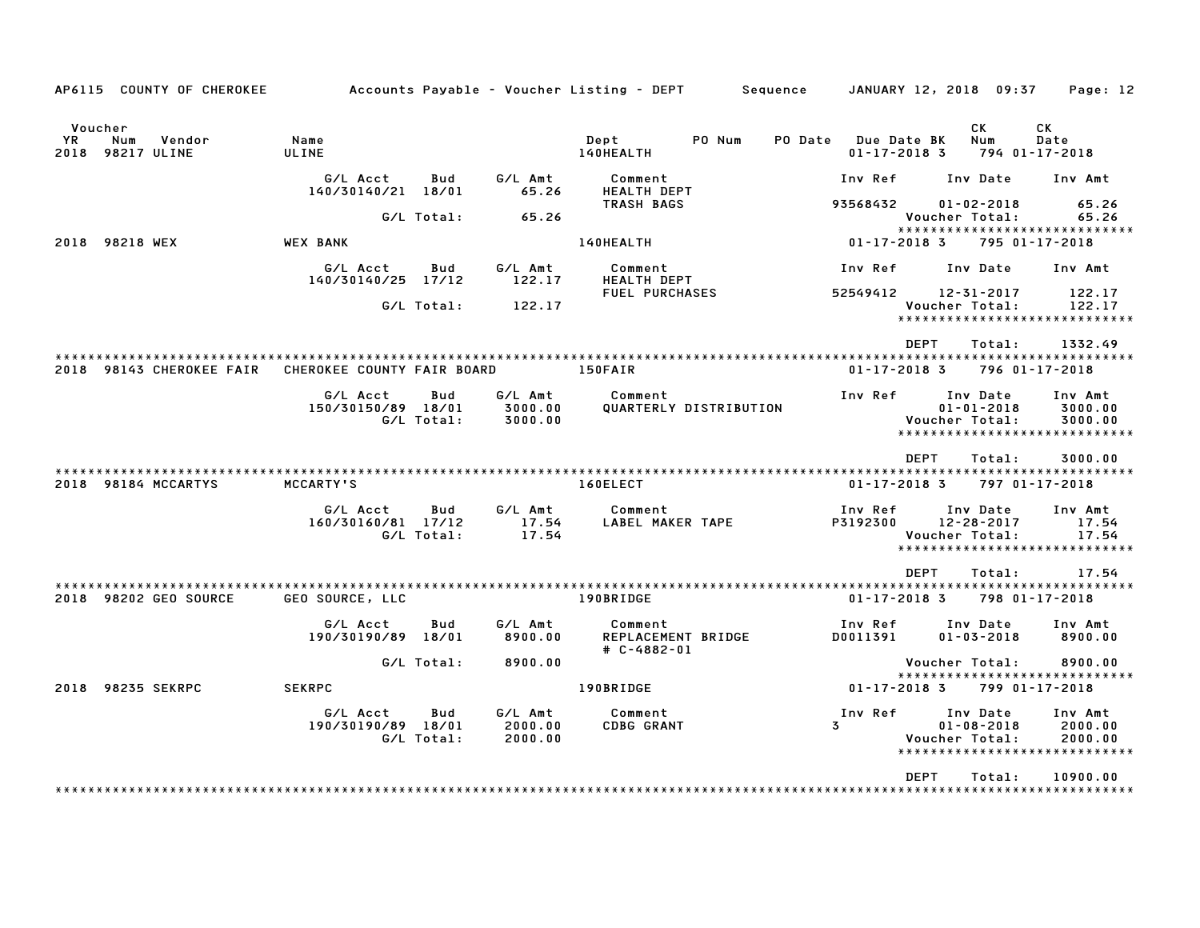| AP6115 COUNTY OF CHEROKEE                           |                                |            |                    | Accounts Payable – Voucher Listing – DEPT         Sequence     JANUARY 12, 2018  09:37 |                                           |                                    | Page: 12                     |
|-----------------------------------------------------|--------------------------------|------------|--------------------|----------------------------------------------------------------------------------------|-------------------------------------------|------------------------------------|------------------------------|
| Voucher<br>YR.<br>Num<br>Vendor<br>2018 98217 ULINE | Name<br>ULINE                  |            |                    | PO Num<br>Dept<br>140HEALTH                                                            | PO Date Due Date BK<br>$01 - 17 - 2018$ 3 | СK<br>Num                          | СK<br>Date<br>794 01-17-2018 |
|                                                     | G/L Acct<br>140/30140/21 18/01 | <b>Bud</b> | G/L Amt<br>65.26   | Comment<br><b>HEALTH DEPT</b>                                                          | Inv Ref                                   | Inv Date                           | Inv Amt                      |
|                                                     |                                | G/L Total: | 65.26              | <b>TRASH BAGS</b>                                                                      | 93568432                                  | $01 - 02 - 2018$<br>Voucher Total: | 65.26<br>65.26               |
|                                                     |                                |            |                    |                                                                                        |                                           | ******************************     |                              |
| 2018 98218 WEX                                      | <b>WEX BANK</b>                |            |                    | 140HEALTH                                                                              | $01 - 17 - 2018$ 3                        |                                    | 795 01-17-2018               |
|                                                     | G/L Acct<br>140/30140/25 17/12 | Bud        | G/L Amt<br>122.17  | Comment<br><b>HEALTH DEPT</b>                                                          | Inv Ref                                   | Inv Date                           | Inv Amt                      |
|                                                     |                                | G/L Total: | 122.17             | <b>FUEL PURCHASES</b>                                                                  | 52549412                                  | 12-31-2017<br>Voucher Total:       | 122.17<br>122.17             |
|                                                     |                                |            |                    |                                                                                        |                                           | *****************************      |                              |
|                                                     |                                |            |                    |                                                                                        | DEPT                                      | Total:                             | 1332.49                      |
| 2018 98143 CHEROKEE FAIR                            | CHEROKEE COUNTY FAIR BOARD     |            |                    | 150FAIR                                                                                | $01 - 17 - 2018$ 3                        |                                    | 796 01-17-2018               |
|                                                     | G/L Acct                       | Bud        | G/L Amt            | Comment                                                                                | Inv Ref                                   | Inv Date                           | Inv Amt                      |
|                                                     | 150/30150/89 18/01             | G/L Total: | 3000.00<br>3000.00 | QUARTERLY DISTRIBUTION                                                                 |                                           | $01 - 01 - 2018$<br>Voucher Total: | 3000.00<br>3000.00           |
|                                                     |                                |            |                    |                                                                                        |                                           | *****************************      |                              |
|                                                     |                                |            |                    |                                                                                        | <b>DEPT</b>                               | Total:                             | 3000.00                      |
| 2018 98184 MCCARTYS                                 | MCCARTY'S                      |            |                    | 160ELECT                                                                               | $01 - 17 - 2018$ 3                        |                                    | 797 01-17-2018               |
|                                                     | G/L Acct                       | Bud        | G/L Amt            | Comment                                                                                | Inv Ref                                   | Inv Date                           | Inv Amt                      |
|                                                     | 160/30160/81 17/12             | G/L Total: | 17.54<br>17.54     | LABEL MAKER TAPE                                                                       | P3192300                                  | 12-28-2017<br>Voucher Total:       | 17.54<br>17.54               |
|                                                     |                                |            |                    |                                                                                        |                                           | *****************************      |                              |
|                                                     |                                |            |                    |                                                                                        | <b>DEPT</b>                               | Total:                             | 17.54                        |
| 2018 98202 GEO SOURCE                               | GEO SOURCE, LLC                |            |                    | 190BRIDGE                                                                              | $01 - 17 - 2018$ 3                        |                                    | 798 01-17-2018               |
|                                                     | G/L Acct<br>190/30190/89 18/01 | Bud        | G/L Amt<br>8900.00 | Comment<br>REPLACEMENT BRIDGE                                                          | Inv Ref<br>D0011391                       | Inv Date<br>$01 - 03 - 2018$       | Inv Amt<br>8900.00           |
|                                                     |                                | G/L Total: | 8900.00            | $\#$ C-4882-01                                                                         |                                           | Voucher Total:                     | 8900.00                      |
| 2018 98235 SEKRPC                                   | <b>SEKRPC</b>                  |            |                    | 190BRIDGE                                                                              | 01-17-2018 3                              | *****************************      | 799 01-17-2018               |
|                                                     |                                |            |                    |                                                                                        |                                           |                                    |                              |
|                                                     | G/L Acct<br>190/30190/89 18/01 | Bud        | G/L Amt<br>2000.00 | Comment<br><b>CDBG GRANT</b>                                                           | Inv Ref<br>$\mathbf{3}$                   | Inv Date<br>$01 - 08 - 2018$       | Inv Amt<br>2000.00           |
|                                                     |                                | G/L Total: | 2000.00            |                                                                                        |                                           | Voucher Total:                     | 2000.00                      |
|                                                     |                                |            |                    |                                                                                        |                                           | ******************************     |                              |
|                                                     |                                |            |                    |                                                                                        | <b>DEPT</b>                               | Total:                             | 10900.00                     |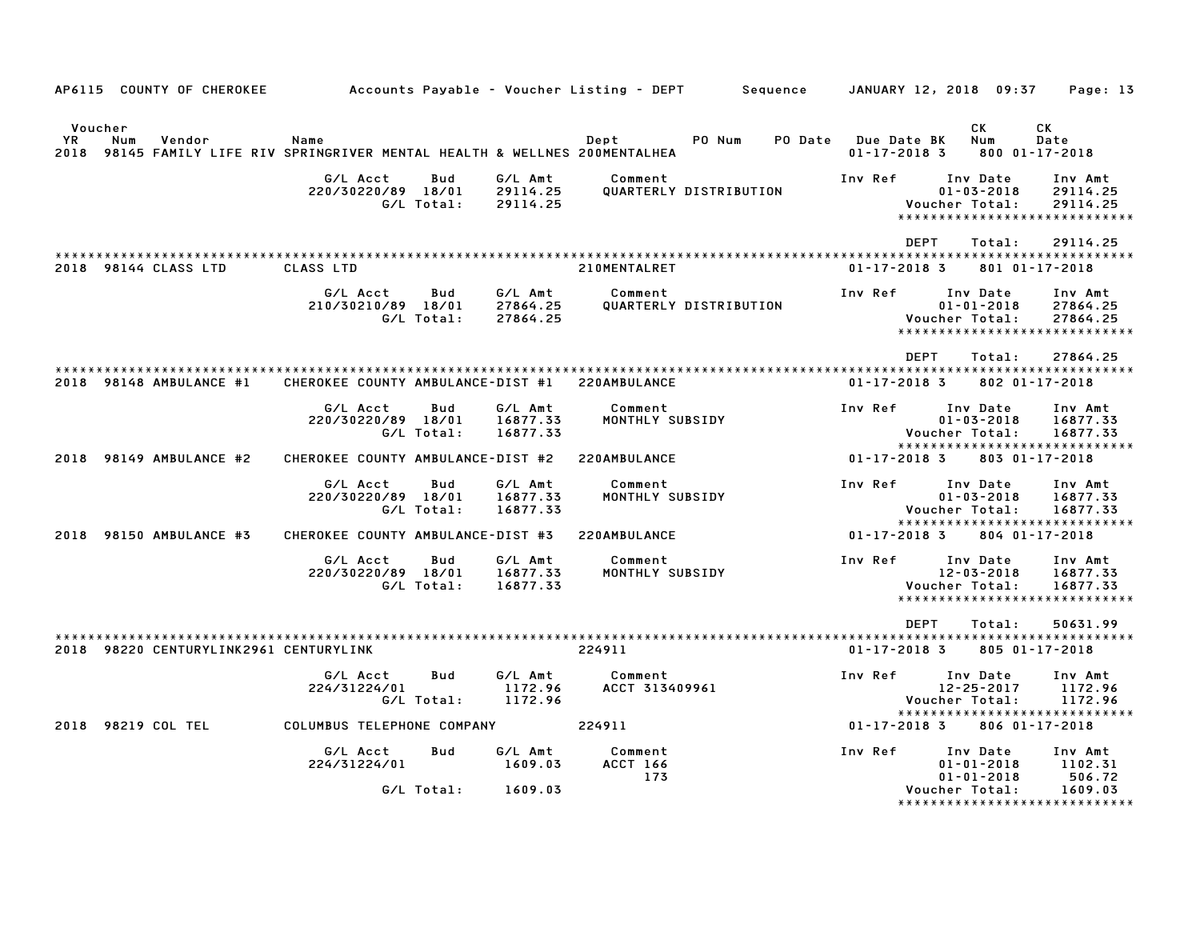|                      |     | AP6115 COUNTY OF CHEROKEE              |                                                                                     |                   |                                 | Accounts Payable – Voucher Listing – DEPT | Sequence |                                           | JANUARY 12, 2018 09:37                           | Page: 13                                                         |
|----------------------|-----|----------------------------------------|-------------------------------------------------------------------------------------|-------------------|---------------------------------|-------------------------------------------|----------|-------------------------------------------|--------------------------------------------------|------------------------------------------------------------------|
| Voucher<br><b>YR</b> | Num | Vendor                                 | Name<br>2018 98145 FAMILY LIFE RIV SPRINGRIVER MENTAL HEALTH & WELLNES 200MENTALHEA |                   |                                 | Dept<br>PO Num                            |          | PO Date Due Date BK<br>$01 - 17 - 2018$ 3 | СK<br>Num                                        | CK<br>Date<br>800 01-17-2018                                     |
|                      |     |                                        | G/L Acct<br>220/30220/89 18/01                                                      | Bud<br>G/L Total: | G/L Amt<br>29114.25<br>29114.25 | Comment<br>QUARTERLY DISTRIBUTION         |          | Inv Ref                                   | Inv Date<br>$01 - 03 - 2018$<br>Voucher Total:   | Inv Amt<br>29114.25<br>29114.25<br>***************************** |
|                      |     |                                        |                                                                                     |                   |                                 |                                           |          | <b>DEPT</b>                               | Total:                                           | 29114.25                                                         |
|                      |     | 2018 98144 CLASS LTD                   | CLASS LTD                                                                           |                   |                                 | 210MENTALRET                              |          | $01 - 17 - 2018$ 3                        |                                                  | 801 01-17-2018                                                   |
|                      |     |                                        | G/L Acct<br>210/30210/89 18/01                                                      | Bud<br>G/L Total: | G/L Amt<br>27864.25<br>27864.25 | Comment<br>QUARTERLY DISTRIBUTION         |          | Inv Ref                                   | Inv Date<br>$01 - 01 - 2018$<br>Voucher Total:   | Inv Amt<br>27864.25<br>27864.25<br>***************************** |
|                      |     |                                        |                                                                                     |                   |                                 |                                           |          | DEPT                                      | Total:                                           | 27864.25                                                         |
|                      |     | 2018 98148 AMBULANCE #1                | CHEROKEE COUNTY AMBULANCE-DIST #1 220AMBULANCE                                      |                   |                                 |                                           |          | $01 - 17 - 2018$ 3                        |                                                  | 802 01-17-2018                                                   |
|                      |     |                                        | G/L Acct<br>220/30220/89 18/01                                                      | Bud<br>G/L Total: | G/L Amt<br>16877.33<br>16877.33 | Comment<br>MONTHLY SUBSIDY                |          | Inv Ref                                   | Inv Date<br>$01 - 03 - 2018$<br>Voucher Total:   | Inv Amt<br>16877.33<br>16877.33<br>***************************** |
|                      |     | 2018 98149 AMBULANCE #2                | CHEROKEE COUNTY AMBULANCE-DIST #2                                                   |                   |                                 | 220AMBULANCE                              |          | $01 - 17 - 2018$ 3                        |                                                  | 803 01-17-2018                                                   |
|                      |     |                                        | G/L Acct<br>220/30220/89 18/01                                                      | Bud<br>G/L Total: | G/L Amt<br>16877.33<br>16877.33 | Comment<br>MONTHLY SUBSIDY                |          | Inv Ref                                   | Inv Date<br>$01 - 03 - 2018$<br>Voucher Total:   | Inv Amt<br>16877.33<br>16877.33<br>***************************** |
|                      |     | 2018 98150 AMBULANCE #3                | CHEROKEE COUNTY AMBULANCE-DIST #3                                                   |                   |                                 | 220AMBULANCE                              |          | $01 - 17 - 2018$ 3                        |                                                  | 804 01-17-2018                                                   |
|                      |     |                                        | G/L Acct<br>220/30220/89 18/01                                                      | Bud<br>G/L Total: | G/L Amt<br>16877.33<br>16877.33 | Comment<br>MONTHLY SUBSIDY                |          | Inv Ref                                   | Inv Date<br>$12 - 03 - 2018$<br>Voucher Total:   | Inv Amt<br>16877.33<br>16877.33<br>***************************** |
|                      |     | 2018 98220 CENTURYLINK2961 CENTURYLINK |                                                                                     |                   |                                 | 224911                                    |          | DEPT<br>$01 - 17 - 2018$ 3                | Total:                                           | 50631.99<br>805 01-17-2018                                       |
|                      |     |                                        | G/L Acct<br>224/31224/01                                                            | Bud<br>G/L Total: | G/L Amt<br>1172.96<br>1172.96   | Comment<br>ACCT 313409961                 |          | Inv Ref                                   | Inv Date<br>$12 - 25 - 2017$<br>Voucher Total:   | Inv Amt<br>1172.96<br>1172.96<br>*****************************   |
|                      |     | 2018 98219 COL TEL                     | COLUMBUS TELEPHONE COMPANY                                                          |                   |                                 | 224911                                    |          | 01-17-2018 3                              |                                                  | 806 01-17-2018                                                   |
|                      |     |                                        | G/L Acct<br>224/31224/01                                                            | Bud               | G/L Amt<br>1609.03<br>1609.03   | Comment<br><b>ACCT 166</b><br>173         |          | Inv Ref                                   | Inv Date<br>$01 - 01 - 2018$<br>$01 - 01 - 2018$ | Inv Amt<br>1102.31<br>506.72                                     |
|                      |     |                                        |                                                                                     | G/L Total:        |                                 |                                           |          |                                           | Voucher Total:                                   | 1609.03<br>******************************                        |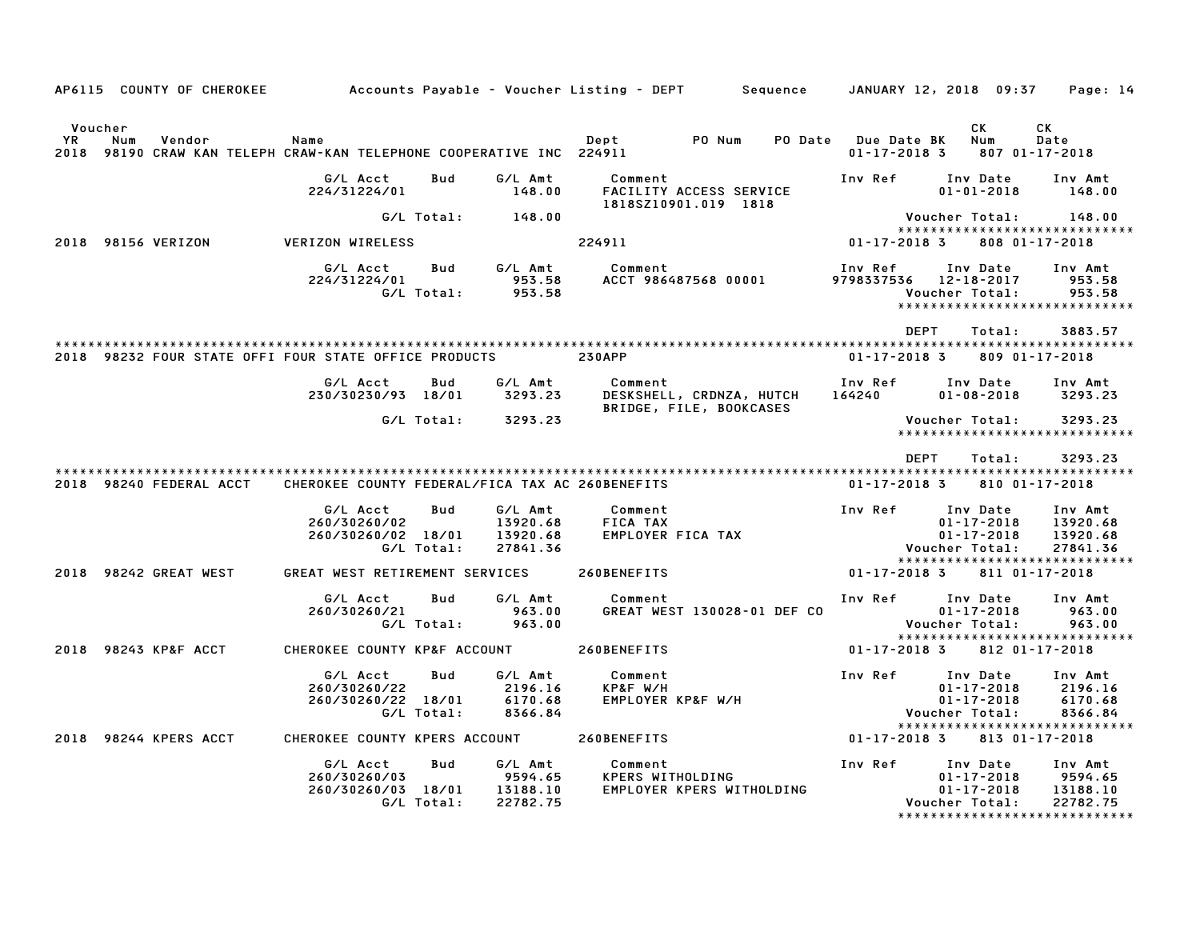| AP6115 COUNTY OF CHEROKEE Accounts Payable – Voucher Listing – DEPT Sequence JANUARY 12, 2018 09:37 |                                                 |            |                      |                         |                                                     |                                           |                |                              | Page: 14                                        |
|-----------------------------------------------------------------------------------------------------|-------------------------------------------------|------------|----------------------|-------------------------|-----------------------------------------------------|-------------------------------------------|----------------|------------------------------|-------------------------------------------------|
|                                                                                                     |                                                 |            |                      |                         |                                                     |                                           |                |                              |                                                 |
| Voucher                                                                                             |                                                 |            |                      |                         |                                                     |                                           |                | CK.                          | CK                                              |
| YR<br>Num<br>Vendor<br>2018 98190 CRAW KAN TELEPH CRAW-KAN TELEPHONE COOPERATIVE INC 224911         | Name                                            |            |                      | Dept PO Num             |                                                     | PO Date Due Date BK<br>$01 - 17 - 2018$ 3 |                | Num                          | Date<br>807 01-17-2018                          |
|                                                                                                     | G/L Acct                                        | Bud        | G/L Amt              | Comment                 |                                                     | Inv Ref                                   |                | Inv Date                     | Inv Amt                                         |
|                                                                                                     | 224/31224/01                                    |            | 148.00               |                         | FACILITY ACCESS SERVICE<br>1818SZ10901.019 1818     |                                           |                | $01 - 01 - 2018$             | 148.00                                          |
|                                                                                                     |                                                 | G/L Total: | 148.00               |                         |                                                     |                                           | Voucher Total: |                              | 148.00                                          |
| 2018 98156 VERIZON                                                                                  | <b>VERIZON WIRELESS</b>                         |            |                      | 224911                  |                                                     | $01 - 17 - 2018$ 3                        |                |                              | *****************************<br>808 01-17-2018 |
|                                                                                                     |                                                 | Bud        | G∕L Amt              |                         |                                                     |                                           |                |                              |                                                 |
|                                                                                                     | G/L Acct<br>224/31224/01                        |            | 953.58               | Comment                 | ACCT 986487568 00001                                | Inv Ref<br>9798337536 12-18-2017          |                | Inv Date                     | Inv Amt<br>953.58                               |
|                                                                                                     |                                                 | G/L Total: | 953.58               |                         |                                                     |                                           | Voucher Total: |                              | 953.58<br>*****************************         |
|                                                                                                     |                                                 |            |                      |                         |                                                     |                                           |                |                              |                                                 |
|                                                                                                     |                                                 |            |                      |                         |                                                     |                                           | DEPT           | Total:                       | 3883.57                                         |
| 2018 98232 FOUR STATE OFFI FOUR STATE OFFICE PRODUCTS                                               |                                                 |            |                      | <b>230APP</b>           |                                                     | $01 - 17 - 2018$ 3                        |                |                              | 809 01-17-2018                                  |
|                                                                                                     | G/L Acct                                        | Bud        | G/L Amt              | Comment                 |                                                     | Inv Ref                                   |                | Inv Date                     | Inv Amt                                         |
|                                                                                                     | 230/30230/93 18/01                              |            | 3293.23              |                         | DESKSHELL, CRDNZA, HUTCH<br>BRIDGE, FILE, BOOKCASES | 164240                                    |                | $01 - 08 - 2018$             | 3293.23                                         |
|                                                                                                     |                                                 | G/L Total: | 3293.23              |                         |                                                     |                                           | Voucher Total: |                              | 3293.23<br>*****************************        |
|                                                                                                     |                                                 |            |                      |                         |                                                     |                                           |                |                              |                                                 |
|                                                                                                     |                                                 |            |                      |                         |                                                     |                                           | <b>DEPT</b>    | Total:                       | 3293.23                                         |
| 2018 98240 FEDERAL ACCT                                                                             | CHEROKEE COUNTY FEDERAL/FICA TAX AC 260BENEFITS |            |                      |                         |                                                     | $01 - 17 - 2018$ 3                        |                |                              | 810 01-17-2018                                  |
|                                                                                                     | G/L Acct                                        | Bud        | G/L Amt              | Comment                 |                                                     | Inv Ref                                   |                | Inv Date                     | Inv Amt                                         |
|                                                                                                     | 260/30260/02                                    |            | 13920.68             | FICA TAX                |                                                     |                                           |                | $01 - 17 - 2018$             | 13920.68                                        |
|                                                                                                     | 260/30260/02 18/01                              |            | 13920.68             |                         | EMPLOYER FICA TAX                                   |                                           |                | $01 - 17 - 2018$             | 13920.68                                        |
|                                                                                                     |                                                 | G/L Total: | 27841.36             |                         |                                                     |                                           | Voucher Total: |                              | 27841.36<br>*****************************       |
| 2018 98242 GREAT WEST                                                                               | GREAT WEST RETIREMENT SERVICES                  |            |                      | 260BENEFITS             |                                                     | $01 - 17 - 2018$ 3                        |                |                              | 811 01-17-2018                                  |
|                                                                                                     | G/L Acct                                        | Bud        | G/L Amt              | Comment                 |                                                     | Inv Ref                                   | Inv Date       |                              | Inv Amt                                         |
|                                                                                                     | 260/30260/21                                    |            | 963.00               |                         | GREAT WEST 130028-01 DEF CO                         |                                           |                | $01 - 17 - 2018$             | 963.00                                          |
|                                                                                                     |                                                 | G/L Total: | 963.00               |                         |                                                     |                                           | Voucher Total: |                              | 963.00<br>*****************************         |
| 2018 98243 KP&F ACCT                                                                                | CHEROKEE COUNTY KP&F ACCOUNT 260BENEFITS        |            |                      |                         |                                                     | $01 - 17 - 2018$ 3                        |                |                              | 812 01-17-2018                                  |
|                                                                                                     |                                                 |            |                      |                         |                                                     |                                           |                |                              |                                                 |
|                                                                                                     | G/L Acct<br>260/30260/22                        | Bud        | G/L Amt<br>2196.16   | Comment<br>KP&F W/H     |                                                     | Inv Ref                                   |                | Inv Date<br>$01 - 17 - 2018$ | Inv Amt<br>2196.16                              |
|                                                                                                     | 260/30260/22 18/01                              |            | 6170.68              | EMPLOYER KP&F W/H       |                                                     |                                           |                | $01 - 17 - 2018$             | 6170.68                                         |
|                                                                                                     |                                                 | G/L Total: | 8366.84              |                         |                                                     |                                           | Voucher Total: |                              | 8366.84                                         |
|                                                                                                     |                                                 |            |                      |                         |                                                     |                                           |                |                              | *****************************                   |
| 2018 98244 KPERS ACCT                                                                               | CHEROKEE COUNTY KPERS ACCOUNT                   |            |                      | 260BENEFITS             |                                                     | 01-17-2018 3                              |                |                              | 813 01-17-2018                                  |
|                                                                                                     | G/L Acct                                        | <b>Bud</b> | G/L Amt              | Comment                 |                                                     | Inv Ref                                   |                | Inv Date                     | Inv Amt                                         |
|                                                                                                     | 260/30260/03                                    |            | 9594.65              | <b>KPERS WITHOLDING</b> |                                                     |                                           |                | $01 - 17 - 2018$             | 9594.65                                         |
|                                                                                                     | 260/30260/03 18/01                              | G/L Total: | 13188.10<br>22782.75 |                         | EMPLOYER KPERS WITHOLDING                           |                                           | Voucher Total: | $01 - 17 - 2018$             | 13188.10<br>22782.75                            |
|                                                                                                     |                                                 |            |                      |                         |                                                     |                                           |                |                              | *******************************                 |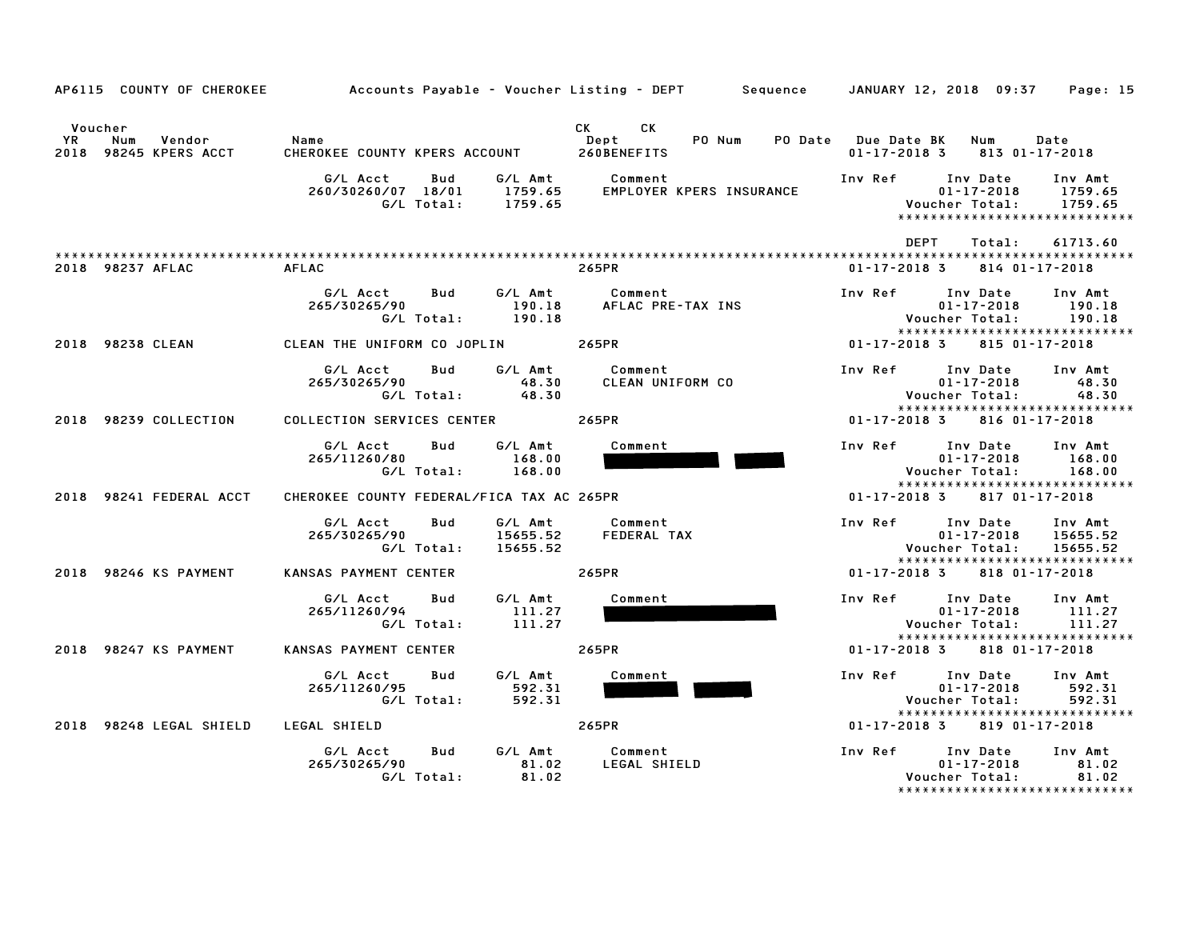| AP6115 COUNTY OF CHEROKEE                               |                                                     |                                                                                                                                                                                                                                                                       | Accounts Payable – Voucher Listing – DEPT         Sequence     JANUARY 12, 2018  09:37<br>Page: 15                          |  |
|---------------------------------------------------------|-----------------------------------------------------|-----------------------------------------------------------------------------------------------------------------------------------------------------------------------------------------------------------------------------------------------------------------------|-----------------------------------------------------------------------------------------------------------------------------|--|
| Voucher<br>YR<br>Num<br>Vendor<br>2018 98245 KPERS ACCT | Name<br>CHEROKEE COUNTY KPERS ACCOUNT               | CK<br>CK the control of the control of the control of the control of the control of the control of the control of the control of the control of the control of the control of the control of the control of the control of the contr<br>PO Num<br>Dept<br>260BENEFITS | PO Date Due Date BK<br><b>Num</b><br>Date<br>$01 - 17 - 2018$ 3 813 01 - 17 - 2018                                          |  |
|                                                         | G/L Acct<br>Bud<br>260/30260/07 18/01<br>G/L Total: | G∕L Amt<br>Comment<br>EMPLOYER KPERS INSURANCE<br>1759.65<br>1759.65                                                                                                                                                                                                  | Inv Ref<br>Inv Date<br>Inv Amt<br>$01 - 17 - 2018$<br>1759.65<br>Voucher Total:<br>1759.65<br>***************************** |  |
|                                                         |                                                     |                                                                                                                                                                                                                                                                       | <b>DEPT</b><br>61713.60<br>Total:                                                                                           |  |
| 2018 98237 AFLAC                                        | <b>AFLAC</b>                                        | 265PR                                                                                                                                                                                                                                                                 | $01 - 17 - 2018$ 3<br>814 01-17-2018                                                                                        |  |
|                                                         | G/L Acct<br>Bud<br>265/30265/90<br>G/L Total:       | G/L Amt<br>Comment<br>190.18<br>AFLAC PRE-TAX INS<br>190.18                                                                                                                                                                                                           | Inv Date<br>Inv Amt<br>Inv Ref<br>$01 - 17 - 2018$<br>190.18<br>Voucher Total:<br>190.18<br>******************************  |  |
| 2018 98238 CLEAN                                        | CLEAN THE UNIFORM CO JOPLIN 265PR                   |                                                                                                                                                                                                                                                                       | 01-17-2018 3<br>815 01-17-2018                                                                                              |  |
|                                                         | Bud<br>G/L Acct<br>265/30265/90<br>G/L Total:       | G/L Amt<br>Comment<br>CLEAN UNIFORM CO<br>48.30<br>48.30                                                                                                                                                                                                              | Inv Ref Inv Date<br>Inv Amt<br>$01 - 17 - 2018$<br>48.30<br>48.30<br>Voucher Total:<br>*****************************        |  |
| 2018 98239 COLLECTION                                   | COLLECTION SERVICES CENTER                          | 265PR                                                                                                                                                                                                                                                                 | 01-17-2018 3<br>816 01-17-2018                                                                                              |  |
|                                                         | G/L Acct<br>Bud<br>265/11260/80<br>G/L Total:       | G/L Amt<br>Comment<br>168.00<br>168.00                                                                                                                                                                                                                                | Inv Ref Inv Date<br>Inv Amt<br>$01 - 17 - 2018$<br>168.00<br>Voucher Total:<br>168.00<br>*****************************      |  |
| 2018 98241 FEDERAL ACCT                                 | CHEROKEE COUNTY FEDERAL/FICA TAX AC 265PR           |                                                                                                                                                                                                                                                                       | $01 - 17 - 2018$ 3<br>817 01-17-2018                                                                                        |  |
|                                                         | G/L Acct<br>Bud<br>265/30265/90<br>G/L Total:       | G/L Amt<br>Comment<br>15655.52<br>FEDERAL TAX<br>15655.52                                                                                                                                                                                                             | Inv Ref Inv Date<br>Inv Amt<br>$01 - 17 - 2018$<br>15655.52<br>Voucher Total:<br>15655.52<br>****************************** |  |
| 2018 98246 KS PAYMENT                                   | KANSAS PAYMENT CENTER                               | 265PR                                                                                                                                                                                                                                                                 | $01 - 17 - 2018$ 3<br>818 01-17-2018                                                                                        |  |
|                                                         | G/L Acct<br>Bud<br>265/11260/94<br>G/L Total:       | G/L Amt<br>Comment<br>111.27<br>111.27                                                                                                                                                                                                                                | Inv Ref<br>Inv Date<br>Inv Amt<br>$01 - 17 - 2018$<br>111.27<br>Voucher Total:<br>111.27<br>*****************************   |  |
| 2018 98247 KS PAYMENT                                   | KANSAS PAYMENT CENTER                               | 265PR                                                                                                                                                                                                                                                                 | 01-17-2018 3<br>818 01-17-2018                                                                                              |  |
|                                                         | G/L Acct<br>Bud<br>265/11260/95<br>G/L Total:       | G/L Amt<br>Comment<br>592.31<br>592.31                                                                                                                                                                                                                                | Inv Ref Inv Date Inv Amt<br>$01 - 17 - 2018$<br>592.31<br>592.31<br>Voucher Total:<br>*****************************         |  |
| 2018 98248 LEGAL SHIELD                                 | LEGAL SHIELD                                        | 265PR                                                                                                                                                                                                                                                                 | 01-17-2018 3 819 01-17-2018                                                                                                 |  |
|                                                         | G/L Acct<br>Bud<br>265/30265/90<br>G/L Total:       | G/L Amt<br>Comment<br>81.02<br>LEGAL SHIELD<br>81.02                                                                                                                                                                                                                  | Inv Ref Inv Date<br>Inv Amt<br>$01 - 17 - 2018$<br>81.02<br>81.02<br>Voucher Total:<br>******************************       |  |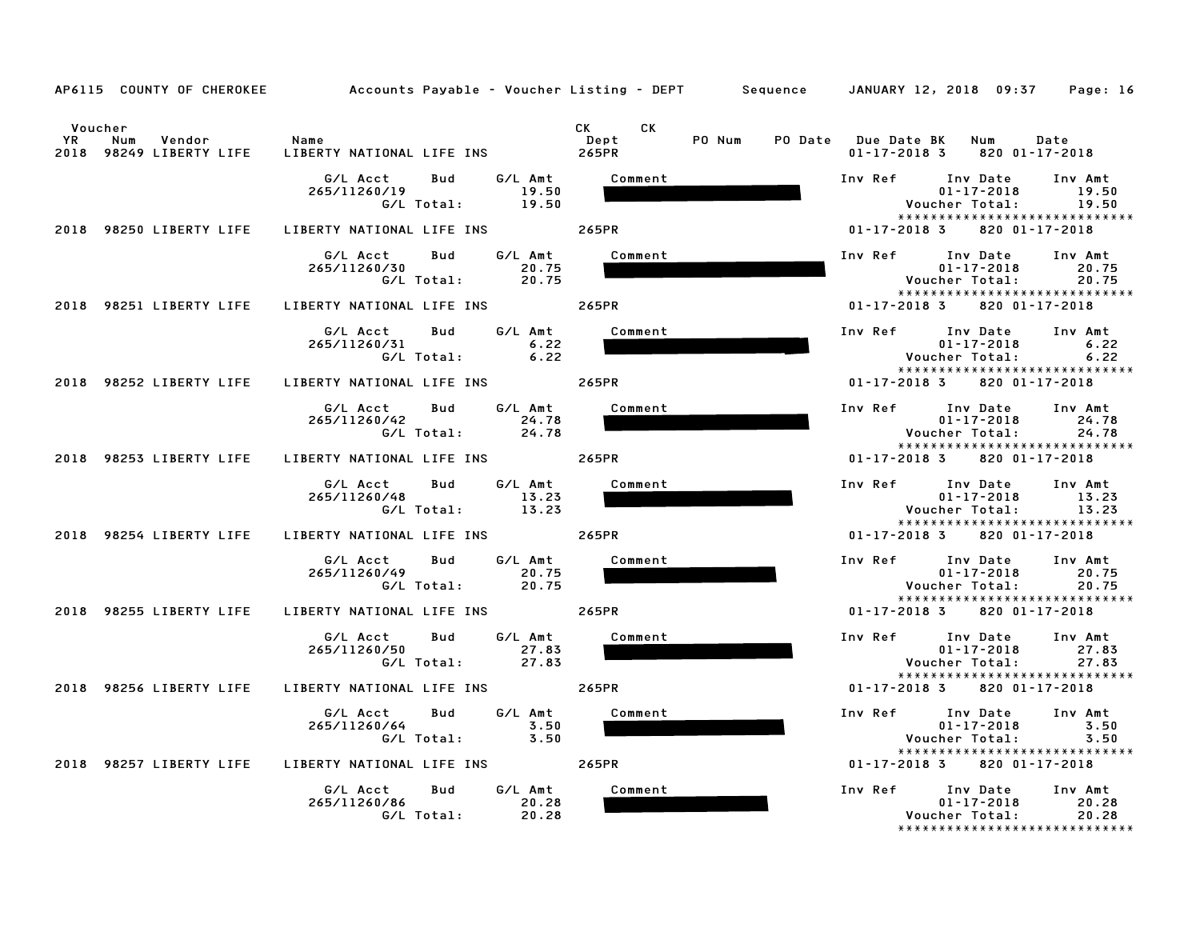|                      |                                               |                                                                                          |                               | AP6115 COUNTY OF CHEROKEE Accounts Payable - Voucher Listing - DEPT Sequence JANUARY 12, 2018 09:37 Page: 16                                     |
|----------------------|-----------------------------------------------|------------------------------------------------------------------------------------------|-------------------------------|--------------------------------------------------------------------------------------------------------------------------------------------------|
| Voucher<br><b>YR</b> | Num<br>Vendor Name<br>2018 98249 LIBERTY LIFE |                                                                                          | CK <sub>2</sub><br>CK<br>Dept | PO Num PO Date Due Date BK Num Date<br>$01 - 17 - 2018$ 3 820 01-17-2018                                                                         |
|                      |                                               | G/L Acct Bud G/L Amt Comment<br>265/11260/19 19.50<br>G/L Total: 19.50                   |                               | Inv Ref Inv Date Inv Amt<br>01-17-2018<br>19.50<br>Voucher Total: 19.50<br>*****************************                                         |
|                      |                                               | 2018 98250 LIBERTY LIFE LIBERTY NATIONAL LIFE INS 265PR                                  |                               | $01 - 17 - 2018$ 3 820 01-17-2018                                                                                                                |
|                      |                                               | G/L Acct        Bud         G/L Amt<br>265/11260/30                                      | Comment                       | Inv Ref 10 Date 1nv Amt<br>01-17-2018 20.75<br>Voucher Total:<br>20.75<br>*****************************                                          |
|                      | 2018 98251 LIBERTY LIFE                       | LIBERTY NATIONAL LIFE INS 265PR                                                          |                               | 820 01-17-2018<br>$01 - 17 - 2018$ 3                                                                                                             |
|                      |                                               | G/L Acct Bud G/L Amt Comment<br>265/11260/31 6.22<br>G/L Total: 6.22                     |                               | Inv Ref Inv Date Inv Amt<br>01-17-2018 6.22<br>Voucher Total:<br>6.22<br>*****************************                                           |
|                      |                                               | 2018 98252 LIBERTY LIFE LIBERTY NATIONAL LIFE INS 265PR                                  |                               | $01 - 17 - 2018$ 3 820 01 - 17 - 2018                                                                                                            |
|                      |                                               | G/L Acct Bud G/L Amt<br>24.78<br>265/11260/42<br>G/L Total: 24.78                        | Comment                       | Inv Ref Inv Date Inv Amt<br>$01 - 17 - 2018$ 24.78<br>Voucher Total: 24.78<br>*****************************                                      |
|                      |                                               | 2018 98253 LIBERTY LIFE LIBERTY NATIONAL LIFE INS 265PR                                  |                               | 01-17-2018 3 820 01-17-2018                                                                                                                      |
|                      |                                               | G/L Acct Bud G/L Amt Comment<br>265/11260/48<br>13.23<br>G/L Total: 13.23                |                               | Inv Ref Inv Date Inv Amt<br>$01 - 17 - 2018$ 13.23<br>Voucher Total: 13.23<br>******************************                                     |
|                      | 2018 98254 LIBERTY LIFE                       | LIBERTY NATIONAL LIFE INS 265PR                                                          |                               | $01 - 17 - 2018$ 3 820 01-17-2018                                                                                                                |
|                      |                                               | G/L Acct Bud G/L Amt Comment<br>20.75<br>265/11260/49<br>$G/L$ Total: $\overline{20.75}$ |                               | Inv Ref Inv Date Inv Amt<br>$01 - 17 - 2018$ 20.75<br>Voucher Total: 20.75<br>*****************************                                      |
|                      |                                               | 2018 98255 LIBERTY LIFE LIBERTY NATIONAL LIFE INS 265PR                                  |                               | $01 - 17 - 2018$ 3 820 01 - 17 - 2018                                                                                                            |
|                      |                                               | G/L Amt<br>G/L Acct Bud<br>27.83<br>265/11260/50<br>G/L Total: 27.83                     | Comment                       | Inv Ref Inv Date Inv Amt<br>01-17-2018 27.83<br>Voucher Total: 27.83<br>27.83<br><b>Voucher Total:</b><br>27.83<br>***************************** |
|                      | 2018 98256 LIBERTY LIFE                       | LIBERTY NATIONAL LIFE INS 265PR                                                          |                               | $01 - 17 - 2018$ 3 820 01-17-2018                                                                                                                |
|                      |                                               | G/L Acct Bud<br>265/11260/64       3.50<br>6/L Total:      3.50                          | G/L Amt<br>Comment            | Inv Ref Inv Date Inv Amt<br>01-17-2018 3.50<br>Voucher Total:<br>3.50                                                                            |
|                      |                                               | 2018 98257 LIBERTY LIFE LIBERTY NATIONAL LIFE INS 265PR                                  |                               | ******************************<br>$01 - 17 - 2018$ 3 820 01 - 17 - 2018                                                                          |
|                      |                                               | G/L Acct Bud G/L Amt<br>265/11260/86 20.28<br>G/L Total:                                 | Comment<br>20.28              | Inv Ref Inv Date Inv Amt<br>$01 - 17 - 2018$ 20.28<br>Voucher Total: 20.28<br>*****************************                                      |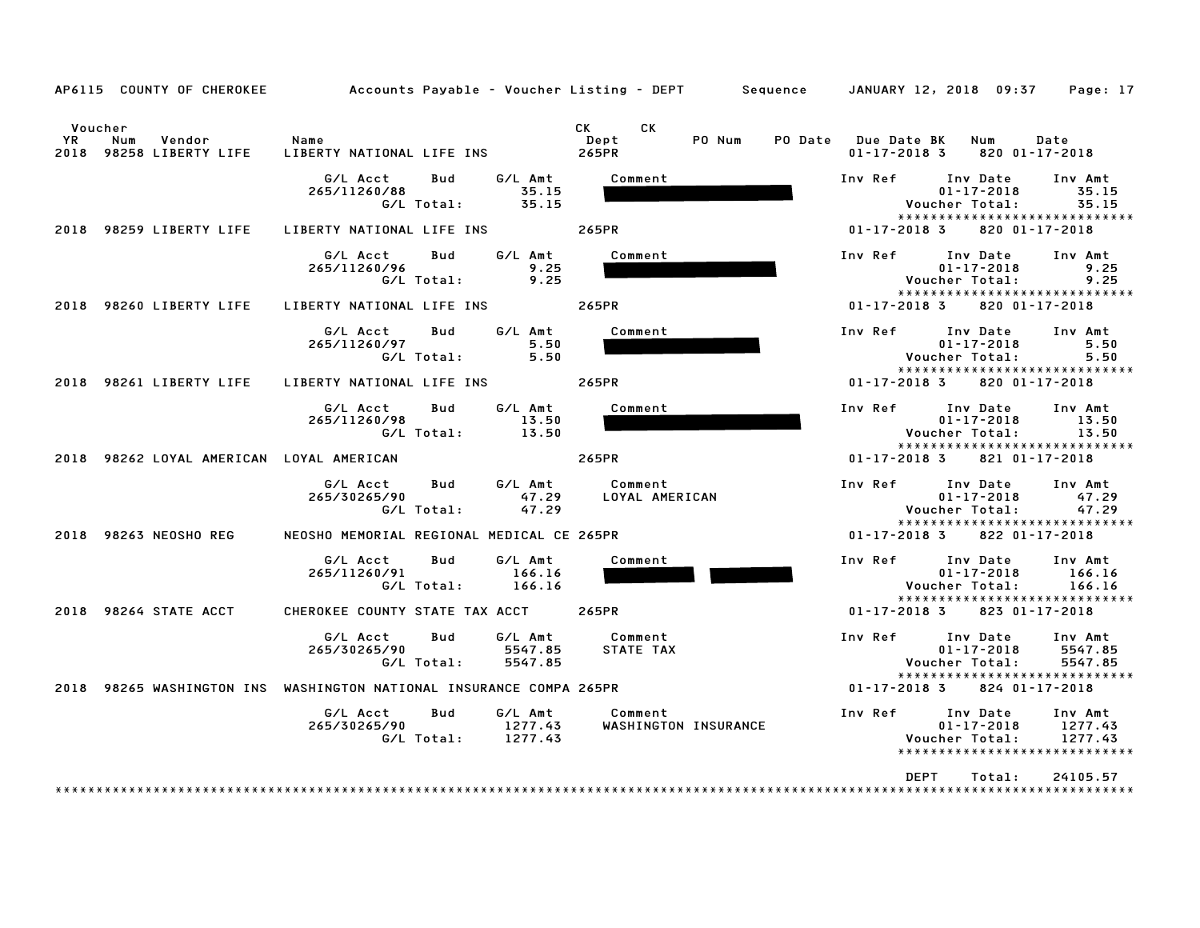| AP6115 COUNTY OF CHEROKEE                                 | Accounts Payable – Voucher Listing – DEPT         Sequence     JANUARY 12, 2018  09:37 |                                                        |                                           | Page: 17                                                                                                         |
|-----------------------------------------------------------|----------------------------------------------------------------------------------------|--------------------------------------------------------|-------------------------------------------|------------------------------------------------------------------------------------------------------------------|
| Voucher<br>YR<br>Num<br>Vendor<br>2018 98258 LIBERTY LIFE | Name<br>LIBERTY NATIONAL LIFE INS                                                      | СK<br>CK C<br>PO Num<br>Dept<br>265PR                  | PO Date Due Date BK<br>$01 - 17 - 2018$ 3 | Num<br>Date<br>820 01-17-2018                                                                                    |
|                                                           | G/L Acct<br>Bud<br>265/11260/88<br>G/L Total:                                          | G/L Amt<br>Comment<br>35.15<br>35.15                   | Inv Ref                                   | Inv Date<br>Inv Amt<br>$01 - 17 - 2018$<br>35.15<br>Voucher Total:<br>35.15<br>*****************************     |
| 2018 98259 LIBERTY LIFE                                   | LIBERTY NATIONAL LIFE INS                                                              | 265PR                                                  | $01 - 17 - 2018$ 3                        | 820 01-17-2018                                                                                                   |
|                                                           | G/L Acct<br>Bud<br>265/11260/96<br>G/L Total:                                          | G/L Amt<br>Comment<br>9.25<br>9.25                     | Inv Ref                                   | Inv Date<br>Inv Amt<br>$01 - 17 - 2018$<br>9.25<br>Voucher Total:<br>9.25<br>*****************************       |
| 2018 98260 LIBERTY LIFE                                   | LIBERTY NATIONAL LIFE INS                                                              | 265PR                                                  | $01 - 17 - 2018$ 3                        | 820 01-17-2018                                                                                                   |
|                                                           | G/L Acct<br>Bud<br>265/11260/97<br>G/L Total:                                          | G/L Amt<br>Comment<br>5.50<br>5.50                     | Inv Ref                                   | Inv Date<br>Inv Amt<br>$01 - 17 - 2018$<br>5.50<br>Voucher Total:<br>5.50<br>*****************************       |
| 2018 98261 LIBERTY LIFE                                   | LIBERTY NATIONAL LIFE INS                                                              | 265PR                                                  | $01 - 17 - 2018$ 3                        | 820 01-17-2018                                                                                                   |
|                                                           | G/L Acct<br>Bud<br>265/11260/98<br>G/L Total:                                          | G/L Amt<br>Comment<br>13.50<br>13.50                   | Inv Ref                                   | Inv Date<br>Inv Amt<br>$01 - 17 - 2018$<br>13.50<br>Voucher Total:<br>13.50<br>*****************************     |
| 2018 98262 LOYAL AMERICAN LOYAL AMERICAN                  |                                                                                        | 265PR                                                  | $01 - 17 - 2018$ 3                        | 821 01-17-2018                                                                                                   |
|                                                           | G/L Acct<br>Bud<br>265/30265/90<br>G/L Total:                                          | G/L Amt<br>Comment<br>47.29<br>LOYAL AMERICAN<br>47.29 | Inv Ref                                   | Inv Date<br>Inv Amt<br>$01 - 17 - 2018$<br>47.29<br>Voucher Total:<br>47.29<br>*****************************     |
| 2018 98263 NEOSHO REG                                     | NEOSHO MEMORIAL REGIONAL MEDICAL CE 265PR                                              |                                                        | $01 - 17 - 2018$ 3                        | 822 01-17-2018                                                                                                   |
|                                                           | G/L Acct<br>Bud<br>265/11260/91<br>G/L Total:                                          | G/L Amt<br>Comment<br>166.16<br>166.16                 | Inv Ref                                   | Inv Date<br>Inv Amt<br>$01 - 17 - 2018$<br>166.16<br>Voucher Total:<br>166.16<br>*****************************   |
| 2018 98264 STATE ACCT                                     | CHEROKEE COUNTY STATE TAX ACCT                                                         | 265PR                                                  | $01 - 17 - 2018$ 3                        | 823 01-17-2018                                                                                                   |
|                                                           | G/L Acct<br>Bud<br>265/30265/90<br>G/L Total:                                          | G/L Amt<br>Comment<br>STATE TAX<br>5547.85<br>5547.85  | Inv Ref                                   | Inv Date<br>Inv Amt<br>$01 - 17 - 2018$<br>5547.85<br>Voucher Total:<br>5547.85<br>***************************** |
|                                                           | 2018 98265 WASHINGTON INS WASHINGTON NATIONAL INSURANCE COMPA 265PR                    |                                                        | 01-17-2018 3                              | 824 01-17-2018                                                                                                   |
|                                                           | G/L Acct<br>Bud<br>265/30265/90<br>G/L Total: 1277.43                                  | G/L Amt<br>Comment<br>1277.43<br>WASHINGTON INSURANCE  | Inv Ref                                   | Inv Date<br>Inv Amt<br>$01 - 17 - 2018$<br>1277.43<br>Voucher Total:<br>1277.43<br>***************************** |
| * * * * * * * * * * * * * * * *                           |                                                                                        |                                                        |                                           | <b>DEPT</b><br>Total:<br>24105.57                                                                                |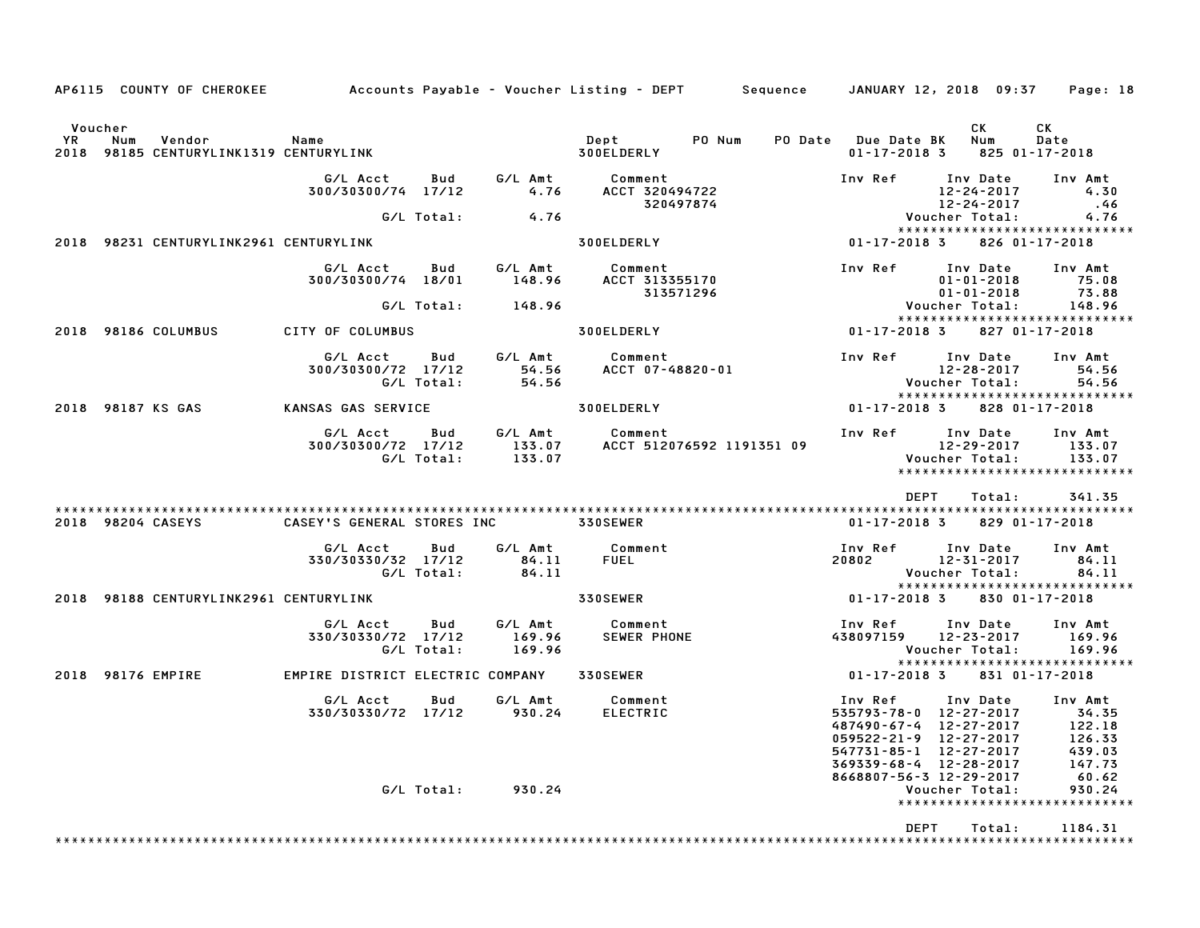|                                                                             |                                              |                                             |                                                                  | AP6115 COUNTY OF CHEROKEE         Accounts Payable – Voucher Listing – DEPT      Sequence    JANUARY 12, 2018 09:37                                   | Page: 18                                                           |
|-----------------------------------------------------------------------------|----------------------------------------------|---------------------------------------------|------------------------------------------------------------------|-------------------------------------------------------------------------------------------------------------------------------------------------------|--------------------------------------------------------------------|
| Voucher<br>YR<br>Vendor<br>Num<br>98185 CENTURYLINK1319 CENTURYLINK<br>2018 | Name                                         |                                             | Dept<br>PO Num<br>300ELDERLY                                     | CK<br>PO Date Due Date BK<br>Num<br>$01 - 17 - 2018$ 3<br>825 01-17-2018                                                                              | CK<br>Date                                                         |
|                                                                             | G/L Acct<br>300/30300/74 17/12               | Bud<br>4.76                                 | G/L Amt Comment<br>4.76 ACCT 3204<br>ACCT 320494722<br>320497874 | Inv Ref<br>Inv Date<br>12-24-2017<br>12-24-2017                                                                                                       | Inv Amt<br>4.30<br>.46                                             |
|                                                                             | G/L Total:                                   | 4.76                                        |                                                                  | Voucher Total:                                                                                                                                        | 4.76                                                               |
| 2018 98231 CENTURYLINK2961 CENTURYLINK                                      |                                              |                                             | 300ELDERLY                                                       | *****************************<br>$01 - 17 - 2018$ 3                                                                                                   | 826 01-17-2018                                                     |
|                                                                             | G/L Acct<br>300/30300/74 18/01               | Bud<br>G∕L Amt<br>148.96                    | Comment<br>ACCT 313355170<br>313571296                           | Inv Ref<br>Inv Date<br>$01 - 01 - 2018$<br>$01 - 01 - 2018$                                                                                           | Inv Amt<br>75.08<br>73.88                                          |
|                                                                             | G/L Total:                                   | 148.96                                      |                                                                  | Voucher Total:                                                                                                                                        | 148.96                                                             |
| 2018 98186 COLUMBUS                                                         | <b>CITY OF COLUMBUS</b>                      |                                             | 300ELDERLY                                                       | *****************************<br>01–17–2018 3<br>827 01-17-2018                                                                                       |                                                                    |
|                                                                             | G/L Acct<br>300/30300/72 17/12<br>G/L Total: | G/L Amt<br>Bud<br>54.56<br>54.56            | Comment<br>Comment<br>ACCT 07-48820-01                           | Inv Ref<br>Inv Date<br>12-28-2017<br>Voucher Total:                                                                                                   | Inv Amt<br>54.56<br>54.56                                          |
| 2018 98187 KS GAS                                                           | KANSAS GAS SERVICE                           |                                             | 300ELDERLY                                                       | *****************************<br>01-17-2018 3<br>828 01-17-2018                                                                                       |                                                                    |
|                                                                             | G/L Acct<br>300/30300/72 17/12<br>G/L Total: | G/L Amt<br>Bud<br>133.07<br>133.07          | Comment<br>ACCT 512076592 1191351 09                             | Inv Ref<br>Inv Date<br>12-29-2017<br>Voucher Total:<br>*****************************                                                                  | Inv Amt<br>133.07<br>133.07                                        |
| 2018 98204 CASEYS                                                           | CASEY'S GENERAL STORES INC 330SEWER          |                                             |                                                                  | DEPT<br>Total:<br>01-17-2018 3<br>829 01-17-2018                                                                                                      | 341.35                                                             |
|                                                                             | G/L Acct<br>330/30330/32 17/12<br>G/L Total: | G/L Amt<br>Bud<br>84.11<br>84.11            | Comment<br><b>FUEL</b>                                           | Inv Ref<br>Inv Date<br>12-31-2017<br>20802<br>Voucher Total:                                                                                          | Inv Amt<br>84.11<br>84.11                                          |
| 2018 98188 CENTURYLINK2961 CENTURYLINK                                      |                                              |                                             | 330SEWER                                                         | *****************************<br>01-17-2018 3<br>830 01-17-2018                                                                                       |                                                                    |
|                                                                             | G/L Acct<br>330/30330/72 17/12<br>G/L Total: | <b>Bud</b><br>G/L Amt<br>169.96<br>169.96   | Comment<br>SEWER PHONE                                           | Inv Ref<br>Inv Date<br>438097159 12-23-2017<br>Voucher Total:                                                                                         | Inv Amt<br>169.96<br>169.96                                        |
| 2018 98176 EMPIRE                                                           | EMPIRE DISTRICT ELECTRIC COMPANY             |                                             | <b>330SEWER</b>                                                  | *****************************<br>01-17-2018 3<br>831 01-17-2018                                                                                       |                                                                    |
|                                                                             | G/L Acct                                     | G/L Amt<br>Bud<br>330/30330/72 17/12 930.24 | Comment<br><b>ELECTRIC</b>                                       | Inv Ref<br>Inv Date<br>535793-78-0 12-27-2017<br>487490-67-4 12-27-2017<br>059522-21-9 12-27-2017<br>547731-85-1 12-27-2017<br>369339-68-4 12-28-2017 | Inv Amt<br>34.35<br>122.18<br>126.33<br>439.03<br>147.73<br>147.73 |
|                                                                             |                                              | G/L Total: 930.24                           |                                                                  | 8668807-56-3 12-29-2017<br>Voucher Total:<br>*****************************                                                                            | 60.62<br>930.24                                                    |
|                                                                             |                                              |                                             |                                                                  | <b>DFPT</b><br>Total:                                                                                                                                 | 1184.31                                                            |